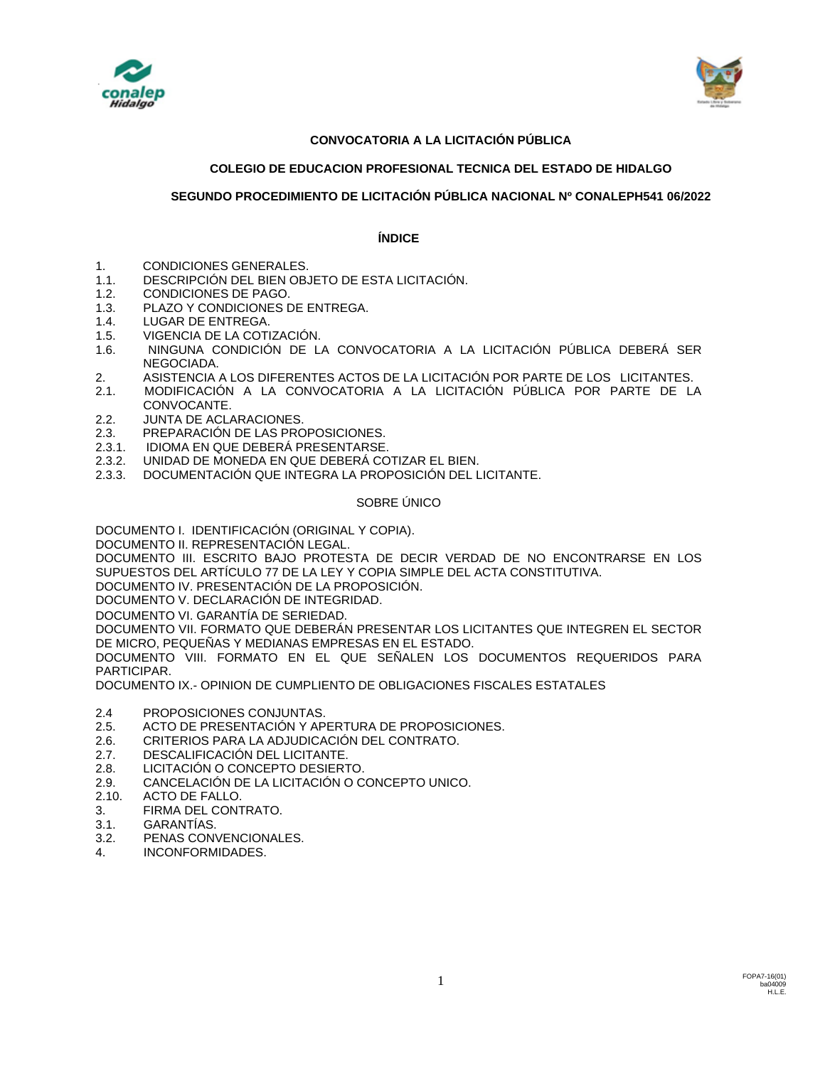



## **CONVOCATORIA A LA LICITACIÓN PÚBLICA**

## **COLEGIO DE EDUCACION PROFESIONAL TECNICA DEL ESTADO DE HIDALGO**

## **SEGUNDO PROCEDIMIENTO DE LICITACIÓN PÚBLICA NACIONAL Nº CONALEPH541 06/2022**

## **ÍNDICE**

- 1. CONDICIONES GENERALES.
- 1.1. DESCRIPCIÓN DEL BIEN OBJETO DE ESTA LICITACIÓN.
- 1.2. CONDICIONES DE PAGO.
- 1.3. PLAZO Y CONDICIONES DE ENTREGA.
- 1.4. LUGAR DE ENTREGA.
- 1.5. VIGENCIA DE LA COTIZACIÓN.
- 1.6. NINGUNA CONDICIÓN DE LA CONVOCATORIA A LA LICITACIÓN PÚBLICA DEBERÁ SER NEGOCIADA.
- 2. ASISTENCIA A LOS DIFERENTES ACTOS DE LA LICITACIÓN POR PARTE DE LOS LICITANTES.
- 2.1. MODIFICACIÓN A LA CONVOCATORIA A LA LICITACIÓN PÚBLICA POR PARTE DE LA CONVOCANTE.
- 2.2. JUNTA DE ACLARACIONES.
- 2.3. PREPARACIÓN DE LAS PROPOSICIONES.
- 2.3.1. IDIOMA EN QUE DEBERÁ PRESENTARSE.
- 2.3.2. UNIDAD DE MONEDA EN QUE DEBERÁ COTIZAR EL BIEN.
- 2.3.3. DOCUMENTACIÓN QUE INTEGRA LA PROPOSICIÓN DEL LICITANTE.

## SOBRE ÚNICO

DOCUMENTO I. IDENTIFICACIÓN (ORIGINAL Y COPIA).

DOCUMENTO II. REPRESENTACIÓN LEGAL.

DOCUMENTO III. ESCRITO BAJO PROTESTA DE DECIR VERDAD DE NO ENCONTRARSE EN LOS SUPUESTOS DEL ARTÍCULO 77 DE LA LEY Y COPIA SIMPLE DEL ACTA CONSTITUTIVA.

DOCUMENTO IV. PRESENTACIÓN DE LA PROPOSICIÓN.

DOCUMENTO V. DECLARACIÓN DE INTEGRIDAD.

DOCUMENTO VI. GARANTÍA DE SERIEDAD.

DOCUMENTO VII. FORMATO QUE DEBERÁN PRESENTAR LOS LICITANTES QUE INTEGREN EL SECTOR DE MICRO, PEQUEÑAS Y MEDIANAS EMPRESAS EN EL ESTADO.

DOCUMENTO VIII. FORMATO EN EL QUE SEÑALEN LOS DOCUMENTOS REQUERIDOS PARA PARTICIPAR.

DOCUMENTO IX.- OPINION DE CUMPLIENTO DE OBLIGACIONES FISCALES ESTATALES

- 2.4 PROPOSICIONES CONJUNTAS.
- 2.5. ACTO DE PRESENTACIÓN Y APERTURA DE PROPOSICIONES.
- 2.6. CRITERIOS PARA LA ADJUDICACIÓN DEL CONTRATO.
- 2.7. DESCALIFICACIÓN DEL LICITANTE.
- 2.8. LICITACIÓN O CONCEPTO DESIERTO.
- 2.9. CANCELACIÓN DE LA LICITACIÓN O CONCEPTO UNICO.<br>2.10. ACTO DE FALLO.
- 2.10. ACTO DE FALLO.
- 3. FIRMA DEL CONTRATO.
- 3.1. GARANTÍAS.
- 3.2. PENAS CONVENCIONALES.
- 4. INCONFORMIDADES.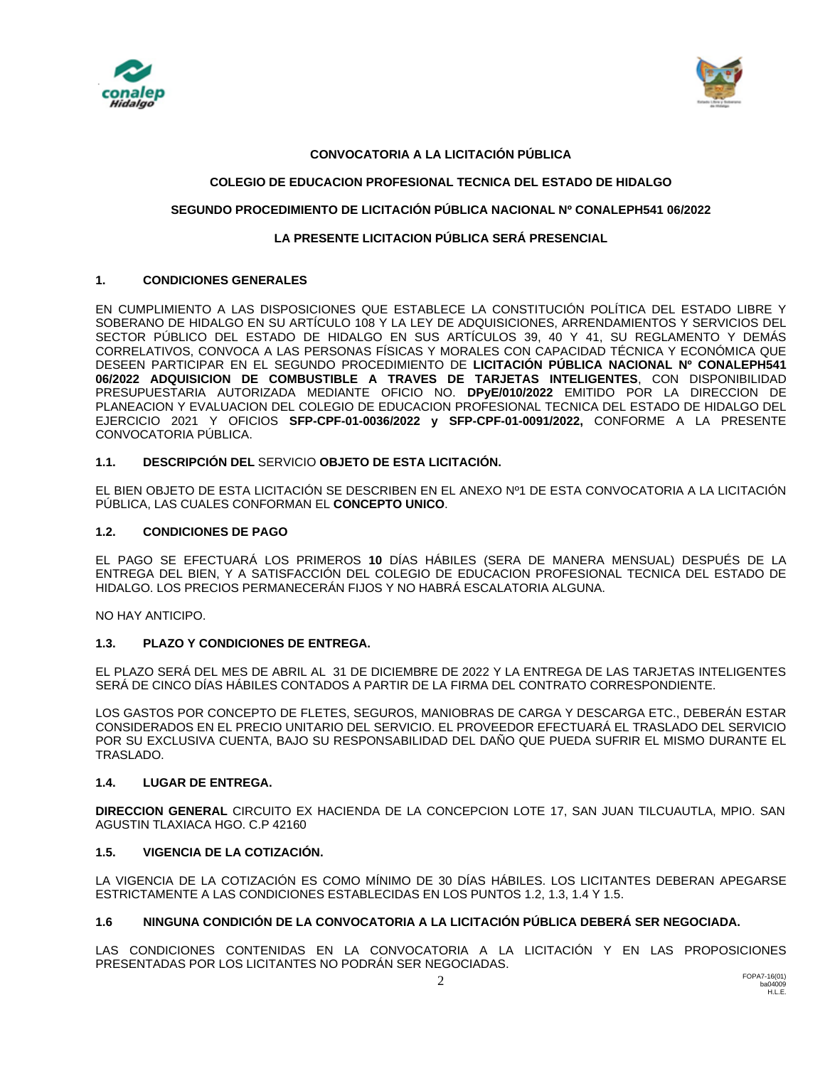



## **CONVOCATORIA A LA LICITACIÓN PÚBLICA**

## **COLEGIO DE EDUCACION PROFESIONAL TECNICA DEL ESTADO DE HIDALGO**

## **SEGUNDO PROCEDIMIENTO DE LICITACIÓN PÚBLICA NACIONAL Nº CONALEPH541 06/2022**

## **LA PRESENTE LICITACION PÚBLICA SERÁ PRESENCIAL**

## **1. CONDICIONES GENERALES**

EN CUMPLIMIENTO A LAS DISPOSICIONES QUE ESTABLECE LA CONSTITUCIÓN POLÍTICA DEL ESTADO LIBRE Y SOBERANO DE HIDALGO EN SU ARTÍCULO 108 Y LA LEY DE ADQUISICIONES, ARRENDAMIENTOS Y SERVICIOS DEL SECTOR PÚBLICO DEL ESTADO DE HIDALGO EN SUS ARTÍCULOS 39, 40 Y 41, SU REGLAMENTO Y DEMÁS CORRELATIVOS, CONVOCA A LAS PERSONAS FÍSICAS Y MORALES CON CAPACIDAD TÉCNICA Y ECONÓMICA QUE DESEEN PARTICIPAR EN EL SEGUNDO PROCEDIMIENTO DE **LICITACIÓN PÚBLICA NACIONAL Nº CONALEPH541 06/2022 ADQUISICION DE COMBUSTIBLE A TRAVES DE TARJETAS INTELIGENTES**, CON DISPONIBILIDAD PRESUPUESTARIA AUTORIZADA MEDIANTE OFICIO NO. **DPyE/010/2022** EMITIDO POR LA DIRECCION DE PLANEACION Y EVALUACION DEL COLEGIO DE EDUCACION PROFESIONAL TECNICA DEL ESTADO DE HIDALGO DEL EJERCICIO 2021 Y OFICIOS **SFP-CPF-01-0036/2022 y SFP-CPF-01-0091/2022,** CONFORME A LA PRESENTE CONVOCATORIA PÚBLICA.

## **1.1. DESCRIPCIÓN DEL** SERVICIO **OBJETO DE ESTA LICITACIÓN.**

EL BIEN OBJETO DE ESTA LICITACIÓN SE DESCRIBEN EN EL ANEXO Nº1 DE ESTA CONVOCATORIA A LA LICITACIÓN PÚBLICA, LAS CUALES CONFORMAN EL **CONCEPTO UNICO**.

## **1.2. CONDICIONES DE PAGO**

EL PAGO SE EFECTUARÁ LOS PRIMEROS **10** DÍAS HÁBILES (SERA DE MANERA MENSUAL) DESPUÉS DE LA ENTREGA DEL BIEN, Y A SATISFACCIÓN DEL COLEGIO DE EDUCACION PROFESIONAL TECNICA DEL ESTADO DE HIDALGO. LOS PRECIOS PERMANECERÁN FIJOS Y NO HABRÁ ESCALATORIA ALGUNA.

NO HAY ANTICIPO.

## **1.3. PLAZO Y CONDICIONES DE ENTREGA.**

EL PLAZO SERÁ DEL MES DE ABRIL AL 31 DE DICIEMBRE DE 2022 Y LA ENTREGA DE LAS TARJETAS INTELIGENTES SERÁ DE CINCO DÍAS HÁBILES CONTADOS A PARTIR DE LA FIRMA DEL CONTRATO CORRESPONDIENTE.

LOS GASTOS POR CONCEPTO DE FLETES, SEGUROS, MANIOBRAS DE CARGA Y DESCARGA ETC., DEBERÁN ESTAR CONSIDERADOS EN EL PRECIO UNITARIO DEL SERVICIO. EL PROVEEDOR EFECTUARÁ EL TRASLADO DEL SERVICIO POR SU EXCLUSIVA CUENTA, BAJO SU RESPONSABILIDAD DEL DAÑO QUE PUEDA SUFRIR EL MISMO DURANTE EL TRASLADO.

## **1.4. LUGAR DE ENTREGA.**

**DIRECCION GENERAL** CIRCUITO EX HACIENDA DE LA CONCEPCION LOTE 17, SAN JUAN TILCUAUTLA, MPIO. SAN AGUSTIN TLAXIACA HGO. C.P 42160

## **1.5. VIGENCIA DE LA COTIZACIÓN.**

LA VIGENCIA DE LA COTIZACIÓN ES COMO MÍNIMO DE 30 DÍAS HÁBILES. LOS LICITANTES DEBERAN APEGARSE ESTRICTAMENTE A LAS CONDICIONES ESTABLECIDAS EN LOS PUNTOS 1.2, 1.3, 1.4 Y 1.5.

## **1.6 NINGUNA CONDICIÓN DE LA CONVOCATORIA A LA LICITACIÓN PÚBLICA DEBERÁ SER NEGOCIADA.**

LAS CONDICIONES CONTENIDAS EN LA CONVOCATORIA A LA LICITACIÓN Y EN LAS PROPOSICIONES PRESENTADAS POR LOS LICITANTES NO PODRÁN SER NEGOCIADAS.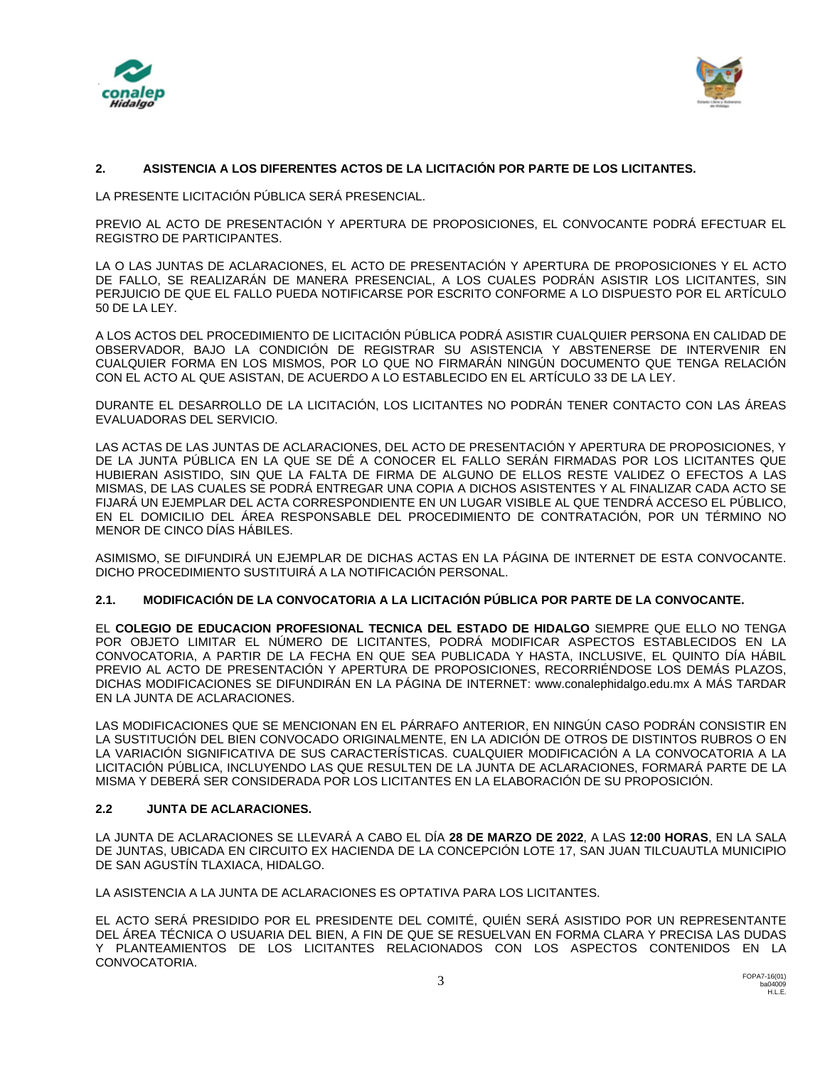



## **2. ASISTENCIA A LOS DIFERENTES ACTOS DE LA LICITACIÓN POR PARTE DE LOS LICITANTES.**

LA PRESENTE LICITACIÓN PÚBLICA SERÁ PRESENCIAL.

PREVIO AL ACTO DE PRESENTACIÓN Y APERTURA DE PROPOSICIONES, EL CONVOCANTE PODRÁ EFECTUAR EL REGISTRO DE PARTICIPANTES.

LA O LAS JUNTAS DE ACLARACIONES, EL ACTO DE PRESENTACIÓN Y APERTURA DE PROPOSICIONES Y EL ACTO DE FALLO, SE REALIZARÁN DE MANERA PRESENCIAL, A LOS CUALES PODRÁN ASISTIR LOS LICITANTES, SIN PERJUICIO DE QUE EL FALLO PUEDA NOTIFICARSE POR ESCRITO CONFORME A LO DISPUESTO POR EL ARTÍCULO 50 DE LA LEY.

A LOS ACTOS DEL PROCEDIMIENTO DE LICITACIÓN PÚBLICA PODRÁ ASISTIR CUALQUIER PERSONA EN CALIDAD DE OBSERVADOR, BAJO LA CONDICIÓN DE REGISTRAR SU ASISTENCIA Y ABSTENERSE DE INTERVENIR EN CUALQUIER FORMA EN LOS MISMOS, POR LO QUE NO FIRMARÁN NINGÚN DOCUMENTO QUE TENGA RELACIÓN CON EL ACTO AL QUE ASISTAN, DE ACUERDO A LO ESTABLECIDO EN EL ARTÍCULO 33 DE LA LEY.

DURANTE EL DESARROLLO DE LA LICITACIÓN, LOS LICITANTES NO PODRÁN TENER CONTACTO CON LAS ÁREAS EVALUADORAS DEL SERVICIO.

LAS ACTAS DE LAS JUNTAS DE ACLARACIONES, DEL ACTO DE PRESENTACIÓN Y APERTURA DE PROPOSICIONES, Y DE LA JUNTA PÚBLICA EN LA QUE SE DÉ A CONOCER EL FALLO SERÁN FIRMADAS POR LOS LICITANTES QUE HUBIERAN ASISTIDO, SIN QUE LA FALTA DE FIRMA DE ALGUNO DE ELLOS RESTE VALIDEZ O EFECTOS A LAS MISMAS, DE LAS CUALES SE PODRÁ ENTREGAR UNA COPIA A DICHOS ASISTENTES Y AL FINALIZAR CADA ACTO SE FIJARÁ UN EJEMPLAR DEL ACTA CORRESPONDIENTE EN UN LUGAR VISIBLE AL QUE TENDRÁ ACCESO EL PÚBLICO, EN EL DOMICILIO DEL ÁREA RESPONSABLE DEL PROCEDIMIENTO DE CONTRATACIÓN, POR UN TÉRMINO NO MENOR DE CINCO DÍAS HÁBILES.

ASIMISMO, SE DIFUNDIRÁ UN EJEMPLAR DE DICHAS ACTAS EN LA PÁGINA DE INTERNET DE ESTA CONVOCANTE. DICHO PROCEDIMIENTO SUSTITUIRÁ A LA NOTIFICACIÓN PERSONAL.

## **2.1. MODIFICACIÓN DE LA CONVOCATORIA A LA LICITACIÓN PÚBLICA POR PARTE DE LA CONVOCANTE.**

EL **COLEGIO DE EDUCACION PROFESIONAL TECNICA DEL ESTADO DE HIDALGO** SIEMPRE QUE ELLO NO TENGA POR OBJETO LIMITAR EL NÚMERO DE LICITANTES, PODRÁ MODIFICAR ASPECTOS ESTABLECIDOS EN LA CONVOCATORIA, A PARTIR DE LA FECHA EN QUE SEA PUBLICADA Y HASTA, INCLUSIVE, EL QUINTO DÍA HÁBIL PREVIO AL ACTO DE PRESENTACIÓN Y APERTURA DE PROPOSICIONES, RECORRIÉNDOSE LOS DEMÁS PLAZOS, DICHAS MODIFICACIONES SE DIFUNDIRÁN EN LA PÁGINA DE INTERNET: www.conalephidalgo.edu.mx A MÁS TARDAR EN LA JUNTA DE ACLARACIONES.

LAS MODIFICACIONES QUE SE MENCIONAN EN EL PÁRRAFO ANTERIOR, EN NINGÚN CASO PODRÁN CONSISTIR EN LA SUSTITUCIÓN DEL BIEN CONVOCADO ORIGINALMENTE, EN LA ADICIÓN DE OTROS DE DISTINTOS RUBROS O EN LA VARIACIÓN SIGNIFICATIVA DE SUS CARACTERÍSTICAS. CUALQUIER MODIFICACIÓN A LA CONVOCATORIA A LA LICITACIÓN PÚBLICA, INCLUYENDO LAS QUE RESULTEN DE LA JUNTA DE ACLARACIONES, FORMARÁ PARTE DE LA MISMA Y DEBERÁ SER CONSIDERADA POR LOS LICITANTES EN LA ELABORACIÓN DE SU PROPOSICIÓN.

## **2.2 JUNTA DE ACLARACIONES.**

LA JUNTA DE ACLARACIONES SE LLEVARÁ A CABO EL DÍA **28 DE MARZO DE 2022**, A LAS **12:00 HORAS**, EN LA SALA DE JUNTAS, UBICADA EN CIRCUITO EX HACIENDA DE LA CONCEPCIÓN LOTE 17, SAN JUAN TILCUAUTLA MUNICIPIO DE SAN AGUSTÍN TLAXIACA, HIDALGO.

LA ASISTENCIA A LA JUNTA DE ACLARACIONES ES OPTATIVA PARA LOS LICITANTES.

EL ACTO SERÁ PRESIDIDO POR EL PRESIDENTE DEL COMITÉ, QUIÉN SERÁ ASISTIDO POR UN REPRESENTANTE DEL ÁREA TÉCNICA O USUARIA DEL BIEN, A FIN DE QUE SE RESUELVAN EN FORMA CLARA Y PRECISA LAS DUDAS Y PLANTEAMIENTOS DE LOS LICITANTES RELACIONADOS CON LOS ASPECTOS CONTENIDOS EN LA CONVOCATORIA.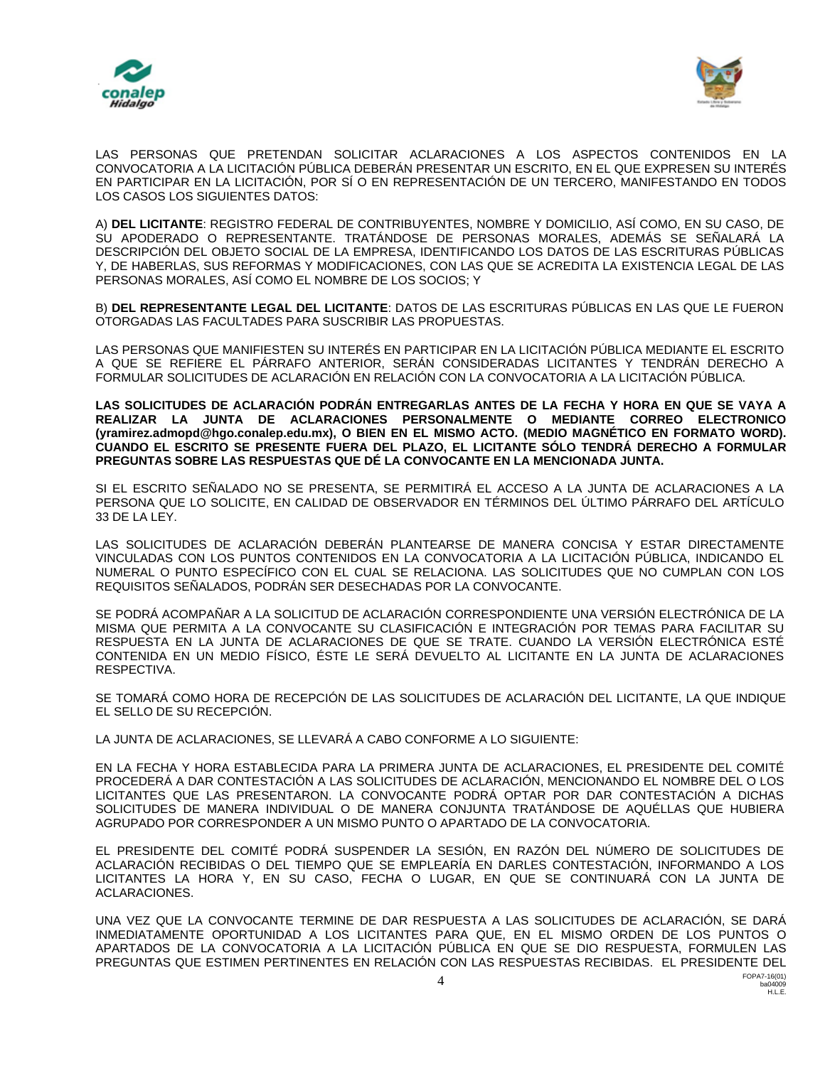



LAS PERSONAS QUE PRETENDAN SOLICITAR ACLARACIONES A LOS ASPECTOS CONTENIDOS EN LA CONVOCATORIA A LA LICITACIÓN PÚBLICA DEBERÁN PRESENTAR UN ESCRITO, EN EL QUE EXPRESEN SU INTERÉS EN PARTICIPAR EN LA LICITACIÓN, POR SÍ O EN REPRESENTACIÓN DE UN TERCERO, MANIFESTANDO EN TODOS LOS CASOS LOS SIGUIENTES DATOS:

A) **DEL LICITANTE**: REGISTRO FEDERAL DE CONTRIBUYENTES, NOMBRE Y DOMICILIO, ASÍ COMO, EN SU CASO, DE SU APODERADO O REPRESENTANTE. TRATÁNDOSE DE PERSONAS MORALES, ADEMÁS SE SEÑALARÁ LA DESCRIPCIÓN DEL OBJETO SOCIAL DE LA EMPRESA, IDENTIFICANDO LOS DATOS DE LAS ESCRITURAS PÚBLICAS Y, DE HABERLAS, SUS REFORMAS Y MODIFICACIONES, CON LAS QUE SE ACREDITA LA EXISTENCIA LEGAL DE LAS PERSONAS MORALES, ASÍ COMO EL NOMBRE DE LOS SOCIOS; Y

B) **DEL REPRESENTANTE LEGAL DEL LICITANTE**: DATOS DE LAS ESCRITURAS PÚBLICAS EN LAS QUE LE FUERON OTORGADAS LAS FACULTADES PARA SUSCRIBIR LAS PROPUESTAS.

LAS PERSONAS QUE MANIFIESTEN SU INTERÉS EN PARTICIPAR EN LA LICITACIÓN PÚBLICA MEDIANTE EL ESCRITO A QUE SE REFIERE EL PÁRRAFO ANTERIOR, SERÁN CONSIDERADAS LICITANTES Y TENDRÁN DERECHO A FORMULAR SOLICITUDES DE ACLARACIÓN EN RELACIÓN CON LA CONVOCATORIA A LA LICITACIÓN PÚBLICA.

**LAS SOLICITUDES DE ACLARACIÓN PODRÁN ENTREGARLAS ANTES DE LA FECHA Y HORA EN QUE SE VAYA A REALIZAR LA JUNTA DE ACLARACIONES PERSONALMENTE O MEDIANTE CORREO ELECTRONICO (yramirez.admopd@hgo.conalep.edu.mx), O BIEN EN EL MISMO ACTO. (MEDIO MAGNÉTICO EN FORMATO WORD). CUANDO EL ESCRITO SE PRESENTE FUERA DEL PLAZO, EL LICITANTE SÓLO TENDRÁ DERECHO A FORMULAR PREGUNTAS SOBRE LAS RESPUESTAS QUE DÉ LA CONVOCANTE EN LA MENCIONADA JUNTA.**

SI EL ESCRITO SEÑALADO NO SE PRESENTA, SE PERMITIRÁ EL ACCESO A LA JUNTA DE ACLARACIONES A LA PERSONA QUE LO SOLICITE, EN CALIDAD DE OBSERVADOR EN TÉRMINOS DEL ÚLTIMO PÁRRAFO DEL ARTÍCULO 33 DE LA LEY.

LAS SOLICITUDES DE ACLARACIÓN DEBERÁN PLANTEARSE DE MANERA CONCISA Y ESTAR DIRECTAMENTE VINCULADAS CON LOS PUNTOS CONTENIDOS EN LA CONVOCATORIA A LA LICITACIÓN PÚBLICA, INDICANDO EL NUMERAL O PUNTO ESPECÍFICO CON EL CUAL SE RELACIONA. LAS SOLICITUDES QUE NO CUMPLAN CON LOS REQUISITOS SEÑALADOS, PODRÁN SER DESECHADAS POR LA CONVOCANTE.

SE PODRÁ ACOMPAÑAR A LA SOLICITUD DE ACLARACIÓN CORRESPONDIENTE UNA VERSIÓN ELECTRÓNICA DE LA MISMA QUE PERMITA A LA CONVOCANTE SU CLASIFICACIÓN E INTEGRACIÓN POR TEMAS PARA FACILITAR SU RESPUESTA EN LA JUNTA DE ACLARACIONES DE QUE SE TRATE. CUANDO LA VERSIÓN ELECTRÓNICA ESTÉ CONTENIDA EN UN MEDIO FÍSICO, ÉSTE LE SERÁ DEVUELTO AL LICITANTE EN LA JUNTA DE ACLARACIONES RESPECTIVA.

SE TOMARÁ COMO HORA DE RECEPCIÓN DE LAS SOLICITUDES DE ACLARACIÓN DEL LICITANTE, LA QUE INDIQUE EL SELLO DE SU RECEPCIÓN.

LA JUNTA DE ACLARACIONES, SE LLEVARÁ A CABO CONFORME A LO SIGUIENTE:

EN LA FECHA Y HORA ESTABLECIDA PARA LA PRIMERA JUNTA DE ACLARACIONES, EL PRESIDENTE DEL COMITÉ PROCEDERÁ A DAR CONTESTACIÓN A LAS SOLICITUDES DE ACLARACIÓN, MENCIONANDO EL NOMBRE DEL O LOS LICITANTES QUE LAS PRESENTARON. LA CONVOCANTE PODRÁ OPTAR POR DAR CONTESTACIÓN A DICHAS SOLICITUDES DE MANERA INDIVIDUAL O DE MANERA CONJUNTA TRATÁNDOSE DE AQUÉLLAS QUE HUBIERA AGRUPADO POR CORRESPONDER A UN MISMO PUNTO O APARTADO DE LA CONVOCATORIA.

EL PRESIDENTE DEL COMITÉ PODRÁ SUSPENDER LA SESIÓN, EN RAZÓN DEL NÚMERO DE SOLICITUDES DE ACLARACIÓN RECIBIDAS O DEL TIEMPO QUE SE EMPLEARÍA EN DARLES CONTESTACIÓN, INFORMANDO A LOS LICITANTES LA HORA Y, EN SU CASO, FECHA O LUGAR, EN QUE SE CONTINUARÁ CON LA JUNTA DE ACLARACIONES.

UNA VEZ QUE LA CONVOCANTE TERMINE DE DAR RESPUESTA A LAS SOLICITUDES DE ACLARACIÓN, SE DARÁ INMEDIATAMENTE OPORTUNIDAD A LOS LICITANTES PARA QUE, EN EL MISMO ORDEN DE LOS PUNTOS O APARTADOS DE LA CONVOCATORIA A LA LICITACIÓN PÚBLICA EN QUE SE DIO RESPUESTA, FORMULEN LAS PREGUNTAS QUE ESTIMEN PERTINENTES EN RELACIÓN CON LAS RESPUESTAS RECIBIDAS. EL PRESIDENTE DEL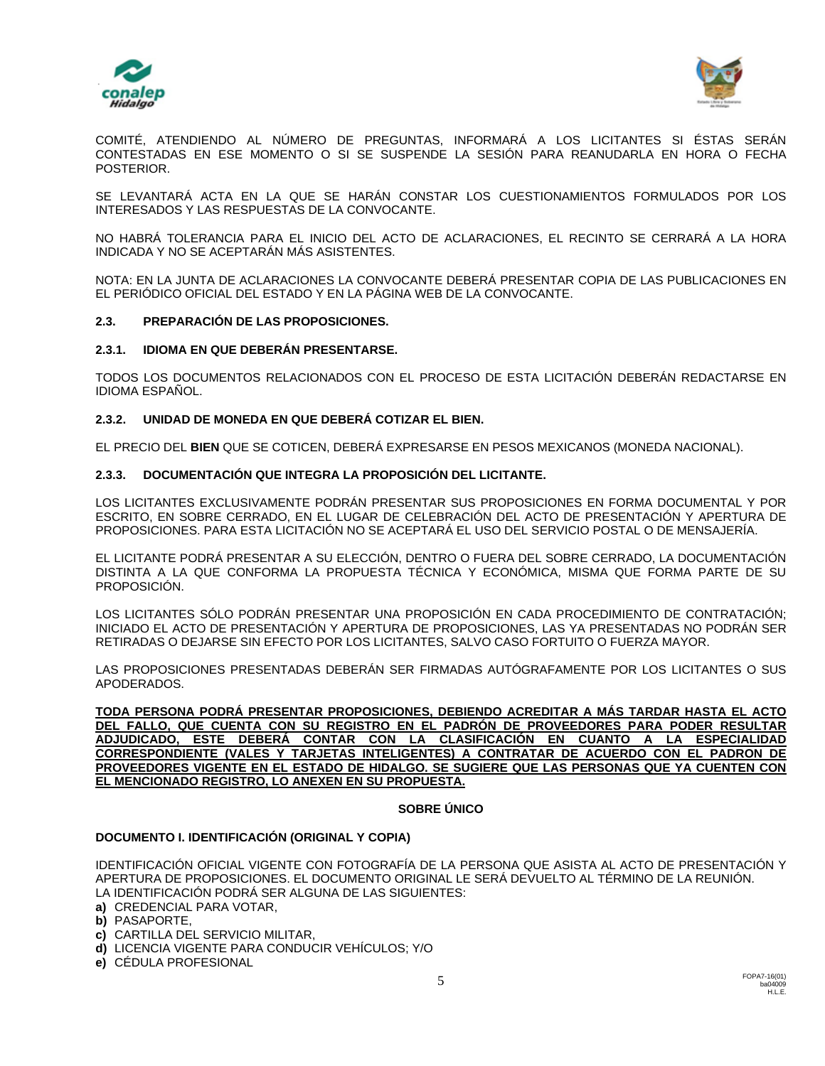



COMITÉ, ATENDIENDO AL NÚMERO DE PREGUNTAS, INFORMARÁ A LOS LICITANTES SI ÉSTAS SERÁN CONTESTADAS EN ESE MOMENTO O SI SE SUSPENDE LA SESIÓN PARA REANUDARLA EN HORA O FECHA POSTERIOR.

SE LEVANTARÁ ACTA EN LA QUE SE HARÁN CONSTAR LOS CUESTIONAMIENTOS FORMULADOS POR LOS INTERESADOS Y LAS RESPUESTAS DE LA CONVOCANTE.

NO HABRÁ TOLERANCIA PARA EL INICIO DEL ACTO DE ACLARACIONES, EL RECINTO SE CERRARÁ A LA HORA INDICADA Y NO SE ACEPTARÁN MÁS ASISTENTES.

NOTA: EN LA JUNTA DE ACLARACIONES LA CONVOCANTE DEBERÁ PRESENTAR COPIA DE LAS PUBLICACIONES EN EL PERIÓDICO OFICIAL DEL ESTADO Y EN LA PÁGINA WEB DE LA CONVOCANTE.

## **2.3. PREPARACIÓN DE LAS PROPOSICIONES.**

## **2.3.1. IDIOMA EN QUE DEBERÁN PRESENTARSE.**

TODOS LOS DOCUMENTOS RELACIONADOS CON EL PROCESO DE ESTA LICITACIÓN DEBERÁN REDACTARSE EN IDIOMA ESPAÑOL.

## **2.3.2. UNIDAD DE MONEDA EN QUE DEBERÁ COTIZAR EL BIEN.**

EL PRECIO DEL **BIEN** QUE SE COTICEN, DEBERÁ EXPRESARSE EN PESOS MEXICANOS (MONEDA NACIONAL).

## **2.3.3. DOCUMENTACIÓN QUE INTEGRA LA PROPOSICIÓN DEL LICITANTE.**

LOS LICITANTES EXCLUSIVAMENTE PODRÁN PRESENTAR SUS PROPOSICIONES EN FORMA DOCUMENTAL Y POR ESCRITO, EN SOBRE CERRADO, EN EL LUGAR DE CELEBRACIÓN DEL ACTO DE PRESENTACIÓN Y APERTURA DE PROPOSICIONES. PARA ESTA LICITACIÓN NO SE ACEPTARÁ EL USO DEL SERVICIO POSTAL O DE MENSAJERÍA.

EL LICITANTE PODRÁ PRESENTAR A SU ELECCIÓN, DENTRO O FUERA DEL SOBRE CERRADO, LA DOCUMENTACIÓN DISTINTA A LA QUE CONFORMA LA PROPUESTA TÉCNICA Y ECONÓMICA, MISMA QUE FORMA PARTE DE SU PROPOSICIÓN.

LOS LICITANTES SÓLO PODRÁN PRESENTAR UNA PROPOSICIÓN EN CADA PROCEDIMIENTO DE CONTRATACIÓN; INICIADO EL ACTO DE PRESENTACIÓN Y APERTURA DE PROPOSICIONES, LAS YA PRESENTADAS NO PODRÁN SER RETIRADAS O DEJARSE SIN EFECTO POR LOS LICITANTES, SALVO CASO FORTUITO O FUERZA MAYOR.

LAS PROPOSICIONES PRESENTADAS DEBERÁN SER FIRMADAS AUTÓGRAFAMENTE POR LOS LICITANTES O SUS APODERADOS.

**TODA PERSONA PODRÁ PRESENTAR PROPOSICIONES, DEBIENDO ACREDITAR A MÁS TARDAR HASTA EL ACTO DEL FALLO, QUE CUENTA CON SU REGISTRO EN EL PADRÓN DE PROVEEDORES PARA PODER RESULTAR ADJUDICADO, ESTE DEBERÁ CONTAR CON LA CLASIFICACIÓN EN CUANTO A LA ESPECIALIDAD CORRESPONDIENTE (VALES Y TARJETAS INTELIGENTES) A CONTRATAR DE ACUERDO CON EL PADRON DE PROVEEDORES VIGENTE EN EL ESTADO DE HIDALGO. SE SUGIERE QUE LAS PERSONAS QUE YA CUENTEN CON EL MENCIONADO REGISTRO, LO ANEXEN EN SU PROPUESTA.**

## **SOBRE ÚNICO**

## **DOCUMENTO I. IDENTIFICACIÓN (ORIGINAL Y COPIA)**

IDENTIFICACIÓN OFICIAL VIGENTE CON FOTOGRAFÍA DE LA PERSONA QUE ASISTA AL ACTO DE PRESENTACIÓN Y APERTURA DE PROPOSICIONES. EL DOCUMENTO ORIGINAL LE SERÁ DEVUELTO AL TÉRMINO DE LA REUNIÓN. LA IDENTIFICACIÓN PODRÁ SER ALGUNA DE LAS SIGUIENTES:

- **a)** CREDENCIAL PARA VOTAR,
- **b)** PASAPORTE,
- **c)** CARTILLA DEL SERVICIO MILITAR,
- **d)** LICENCIA VIGENTE PARA CONDUCIR VEHÍCULOS; Y/O
- **e)** CÉDULA PROFESIONAL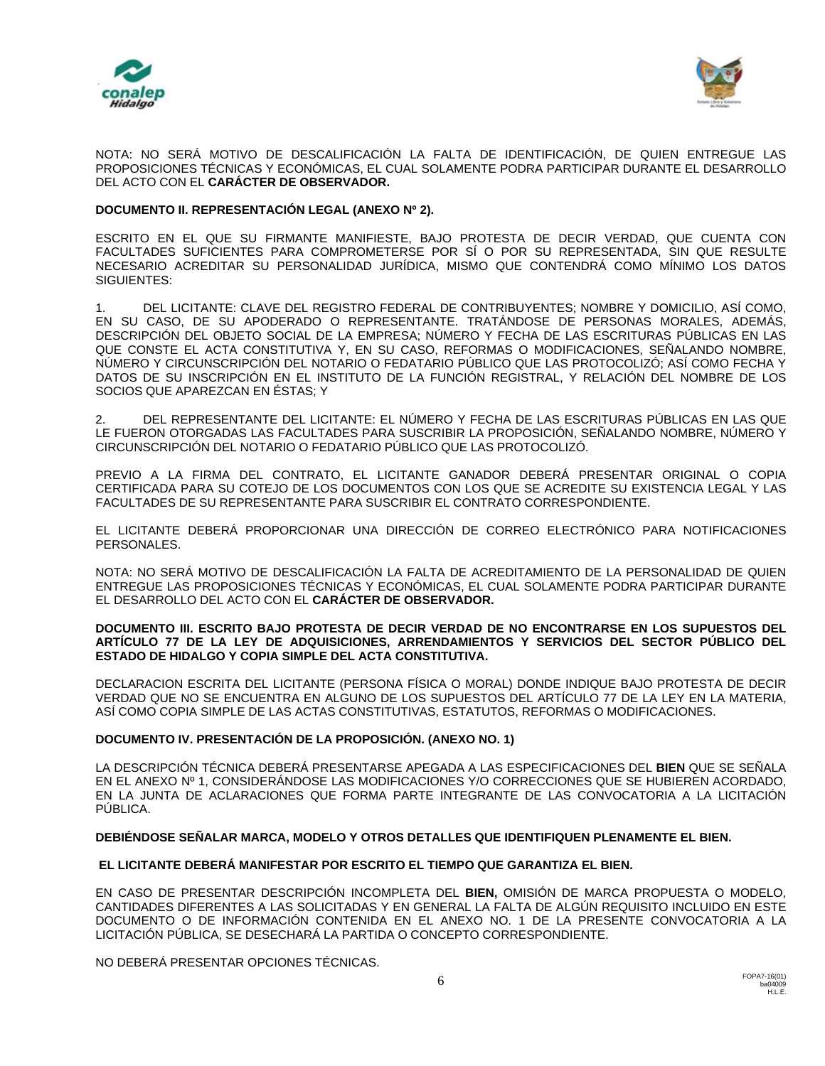



NOTA: NO SERÁ MOTIVO DE DESCALIFICACIÓN LA FALTA DE IDENTIFICACIÓN, DE QUIEN ENTREGUE LAS PROPOSICIONES TÉCNICAS Y ECONÓMICAS, EL CUAL SOLAMENTE PODRA PARTICIPAR DURANTE EL DESARROLLO DEL ACTO CON EL **CARÁCTER DE OBSERVADOR.**

## **DOCUMENTO II. REPRESENTACIÓN LEGAL (ANEXO Nº 2).**

ESCRITO EN EL QUE SU FIRMANTE MANIFIESTE, BAJO PROTESTA DE DECIR VERDAD, QUE CUENTA CON FACULTADES SUFICIENTES PARA COMPROMETERSE POR SÍ O POR SU REPRESENTADA, SIN QUE RESULTE NECESARIO ACREDITAR SU PERSONALIDAD JURÍDICA, MISMO QUE CONTENDRÁ COMO MÍNIMO LOS DATOS SIGUIENTES:

1. DEL LICITANTE: CLAVE DEL REGISTRO FEDERAL DE CONTRIBUYENTES; NOMBRE Y DOMICILIO, ASÍ COMO, EN SU CASO, DE SU APODERADO O REPRESENTANTE. TRATÁNDOSE DE PERSONAS MORALES, ADEMÁS, DESCRIPCIÓN DEL OBJETO SOCIAL DE LA EMPRESA; NÚMERO Y FECHA DE LAS ESCRITURAS PÚBLICAS EN LAS QUE CONSTE EL ACTA CONSTITUTIVA Y, EN SU CASO, REFORMAS O MODIFICACIONES, SEÑALANDO NOMBRE, NÚMERO Y CIRCUNSCRIPCIÓN DEL NOTARIO O FEDATARIO PÚBLICO QUE LAS PROTOCOLIZÓ; ASÍ COMO FECHA Y DATOS DE SU INSCRIPCIÓN EN EL INSTITUTO DE LA FUNCIÓN REGISTRAL, Y RELACIÓN DEL NOMBRE DE LOS SOCIOS QUE APAREZCAN EN ÉSTAS; Y

2. DEL REPRESENTANTE DEL LICITANTE: EL NÚMERO Y FECHA DE LAS ESCRITURAS PÚBLICAS EN LAS QUE LE FUERON OTORGADAS LAS FACULTADES PARA SUSCRIBIR LA PROPOSICIÓN, SEÑALANDO NOMBRE, NÚMERO Y CIRCUNSCRIPCIÓN DEL NOTARIO O FEDATARIO PÚBLICO QUE LAS PROTOCOLIZÓ.

PREVIO A LA FIRMA DEL CONTRATO, EL LICITANTE GANADOR DEBERÁ PRESENTAR ORIGINAL O COPIA CERTIFICADA PARA SU COTEJO DE LOS DOCUMENTOS CON LOS QUE SE ACREDITE SU EXISTENCIA LEGAL Y LAS FACULTADES DE SU REPRESENTANTE PARA SUSCRIBIR EL CONTRATO CORRESPONDIENTE.

EL LICITANTE DEBERÁ PROPORCIONAR UNA DIRECCIÓN DE CORREO ELECTRÓNICO PARA NOTIFICACIONES PERSONALES.

NOTA: NO SERÁ MOTIVO DE DESCALIFICACIÓN LA FALTA DE ACREDITAMIENTO DE LA PERSONALIDAD DE QUIEN ENTREGUE LAS PROPOSICIONES TÉCNICAS Y ECONÓMICAS, EL CUAL SOLAMENTE PODRA PARTICIPAR DURANTE EL DESARROLLO DEL ACTO CON EL **CARÁCTER DE OBSERVADOR.**

#### **DOCUMENTO III. ESCRITO BAJO PROTESTA DE DECIR VERDAD DE NO ENCONTRARSE EN LOS SUPUESTOS DEL ARTÍCULO 77 DE LA LEY DE ADQUISICIONES, ARRENDAMIENTOS Y SERVICIOS DEL SECTOR PÚBLICO DEL ESTADO DE HIDALGO Y COPIA SIMPLE DEL ACTA CONSTITUTIVA.**

DECLARACION ESCRITA DEL LICITANTE (PERSONA FÍSICA O MORAL) DONDE INDIQUE BAJO PROTESTA DE DECIR VERDAD QUE NO SE ENCUENTRA EN ALGUNO DE LOS SUPUESTOS DEL ARTÍCULO 77 DE LA LEY EN LA MATERIA, ASÍ COMO COPIA SIMPLE DE LAS ACTAS CONSTITUTIVAS, ESTATUTOS, REFORMAS O MODIFICACIONES.

## **DOCUMENTO IV. PRESENTACIÓN DE LA PROPOSICIÓN. (ANEXO NO. 1)**

LA DESCRIPCIÓN TÉCNICA DEBERÁ PRESENTARSE APEGADA A LAS ESPECIFICACIONES DEL **BIEN** QUE SE SEÑALA EN EL ANEXO Nº 1, CONSIDERÁNDOSE LAS MODIFICACIONES Y/O CORRECCIONES QUE SE HUBIEREN ACORDADO, EN LA JUNTA DE ACLARACIONES QUE FORMA PARTE INTEGRANTE DE LAS CONVOCATORIA A LA LICITACIÓN PÚBLICA.

## **DEBIÉNDOSE SEÑALAR MARCA, MODELO Y OTROS DETALLES QUE IDENTIFIQUEN PLENAMENTE EL BIEN.**

## **EL LICITANTE DEBERÁ MANIFESTAR POR ESCRITO EL TIEMPO QUE GARANTIZA EL BIEN.**

EN CASO DE PRESENTAR DESCRIPCIÓN INCOMPLETA DEL **BIEN,** OMISIÓN DE MARCA PROPUESTA O MODELO, CANTIDADES DIFERENTES A LAS SOLICITADAS Y EN GENERAL LA FALTA DE ALGÚN REQUISITO INCLUIDO EN ESTE DOCUMENTO O DE INFORMACIÓN CONTENIDA EN EL ANEXO NO. 1 DE LA PRESENTE CONVOCATORIA A LA LICITACIÓN PÚBLICA, SE DESECHARÁ LA PARTIDA O CONCEPTO CORRESPONDIENTE.

NO DEBERÁ PRESENTAR OPCIONES TÉCNICAS.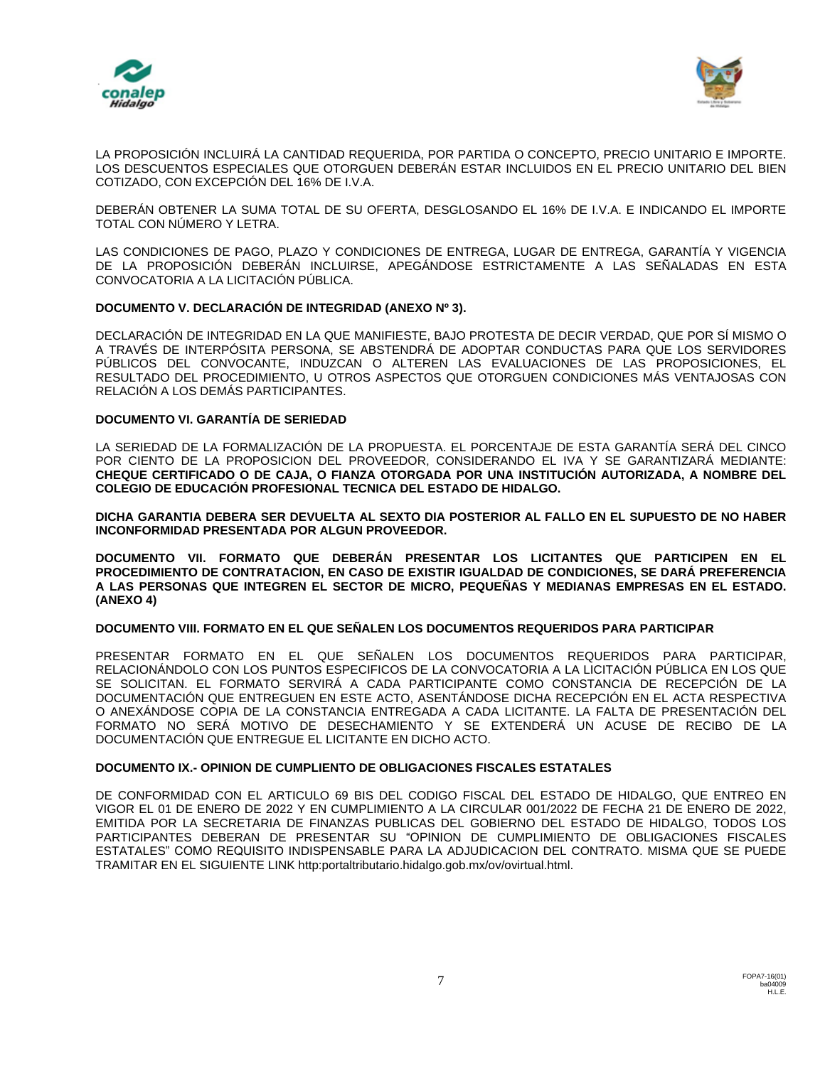



LA PROPOSICIÓN INCLUIRÁ LA CANTIDAD REQUERIDA, POR PARTIDA O CONCEPTO, PRECIO UNITARIO E IMPORTE. LOS DESCUENTOS ESPECIALES QUE OTORGUEN DEBERÁN ESTAR INCLUIDOS EN EL PRECIO UNITARIO DEL BIEN COTIZADO, CON EXCEPCIÓN DEL 16% DE I.V.A.

DEBERÁN OBTENER LA SUMA TOTAL DE SU OFERTA, DESGLOSANDO EL 16% DE I.V.A. E INDICANDO EL IMPORTE TOTAL CON NÚMERO Y LETRA.

LAS CONDICIONES DE PAGO, PLAZO Y CONDICIONES DE ENTREGA, LUGAR DE ENTREGA, GARANTÍA Y VIGENCIA DE LA PROPOSICIÓN DEBERÁN INCLUIRSE, APEGÁNDOSE ESTRICTAMENTE A LAS SEÑALADAS EN ESTA CONVOCATORIA A LA LICITACIÓN PÚBLICA.

## **DOCUMENTO V. DECLARACIÓN DE INTEGRIDAD (ANEXO Nº 3).**

DECLARACIÓN DE INTEGRIDAD EN LA QUE MANIFIESTE, BAJO PROTESTA DE DECIR VERDAD, QUE POR SÍ MISMO O A TRAVÉS DE INTERPÓSITA PERSONA, SE ABSTENDRÁ DE ADOPTAR CONDUCTAS PARA QUE LOS SERVIDORES PÚBLICOS DEL CONVOCANTE, INDUZCAN O ALTEREN LAS EVALUACIONES DE LAS PROPOSICIONES, EL RESULTADO DEL PROCEDIMIENTO, U OTROS ASPECTOS QUE OTORGUEN CONDICIONES MÁS VENTAJOSAS CON RELACIÓN A LOS DEMÁS PARTICIPANTES.

## **DOCUMENTO VI. GARANTÍA DE SERIEDAD**

LA SERIEDAD DE LA FORMALIZACIÓN DE LA PROPUESTA. EL PORCENTAJE DE ESTA GARANTÍA SERÁ DEL CINCO POR CIENTO DE LA PROPOSICION DEL PROVEEDOR, CONSIDERANDO EL IVA Y SE GARANTIZARÁ MEDIANTE: **CHEQUE CERTIFICADO O DE CAJA, O FIANZA OTORGADA POR UNA INSTITUCIÓN AUTORIZADA, A NOMBRE DEL COLEGIO DE EDUCACIÓN PROFESIONAL TECNICA DEL ESTADO DE HIDALGO.**

**DICHA GARANTIA DEBERA SER DEVUELTA AL SEXTO DIA POSTERIOR AL FALLO EN EL SUPUESTO DE NO HABER INCONFORMIDAD PRESENTADA POR ALGUN PROVEEDOR.**

**DOCUMENTO VII. FORMATO QUE DEBERÁN PRESENTAR LOS LICITANTES QUE PARTICIPEN EN EL PROCEDIMIENTO DE CONTRATACION, EN CASO DE EXISTIR IGUALDAD DE CONDICIONES, SE DARÁ PREFERENCIA A LAS PERSONAS QUE INTEGREN EL SECTOR DE MICRO, PEQUEÑAS Y MEDIANAS EMPRESAS EN EL ESTADO. (ANEXO 4)**

## **DOCUMENTO VIII. FORMATO EN EL QUE SEÑALEN LOS DOCUMENTOS REQUERIDOS PARA PARTICIPAR**

PRESENTAR FORMATO EN EL QUE SEÑALEN LOS DOCUMENTOS REQUERIDOS PARA PARTICIPAR, RELACIONÁNDOLO CON LOS PUNTOS ESPECIFICOS DE LA CONVOCATORIA A LA LICITACIÓN PÚBLICA EN LOS QUE SE SOLICITAN. EL FORMATO SERVIRÁ A CADA PARTICIPANTE COMO CONSTANCIA DE RECEPCIÓN DE LA DOCUMENTACIÓN QUE ENTREGUEN EN ESTE ACTO, ASENTÁNDOSE DICHA RECEPCIÓN EN EL ACTA RESPECTIVA O ANEXÁNDOSE COPIA DE LA CONSTANCIA ENTREGADA A CADA LICITANTE. LA FALTA DE PRESENTACIÓN DEL FORMATO NO SERÁ MOTIVO DE DESECHAMIENTO Y SE EXTENDERÁ UN ACUSE DE RECIBO DE LA DOCUMENTACIÓN QUE ENTREGUE EL LICITANTE EN DICHO ACTO.

## **DOCUMENTO IX.- OPINION DE CUMPLIENTO DE OBLIGACIONES FISCALES ESTATALES**

DE CONFORMIDAD CON EL ARTICULO 69 BIS DEL CODIGO FISCAL DEL ESTADO DE HIDALGO, QUE ENTREO EN VIGOR EL 01 DE ENERO DE 2022 Y EN CUMPLIMIENTO A LA CIRCULAR 001/2022 DE FECHA 21 DE ENERO DE 2022, EMITIDA POR LA SECRETARIA DE FINANZAS PUBLICAS DEL GOBIERNO DEL ESTADO DE HIDALGO, TODOS LOS PARTICIPANTES DEBERAN DE PRESENTAR SU "OPINION DE CUMPLIMIENTO DE OBLIGACIONES FISCALES ESTATALES" COMO REQUISITO INDISPENSABLE PARA LA ADJUDICACION DEL CONTRATO. MISMA QUE SE PUEDE TRAMITAR EN EL SIGUIENTE LINK http:portaltributario.hidalgo.gob.mx/ov/ovirtual.html.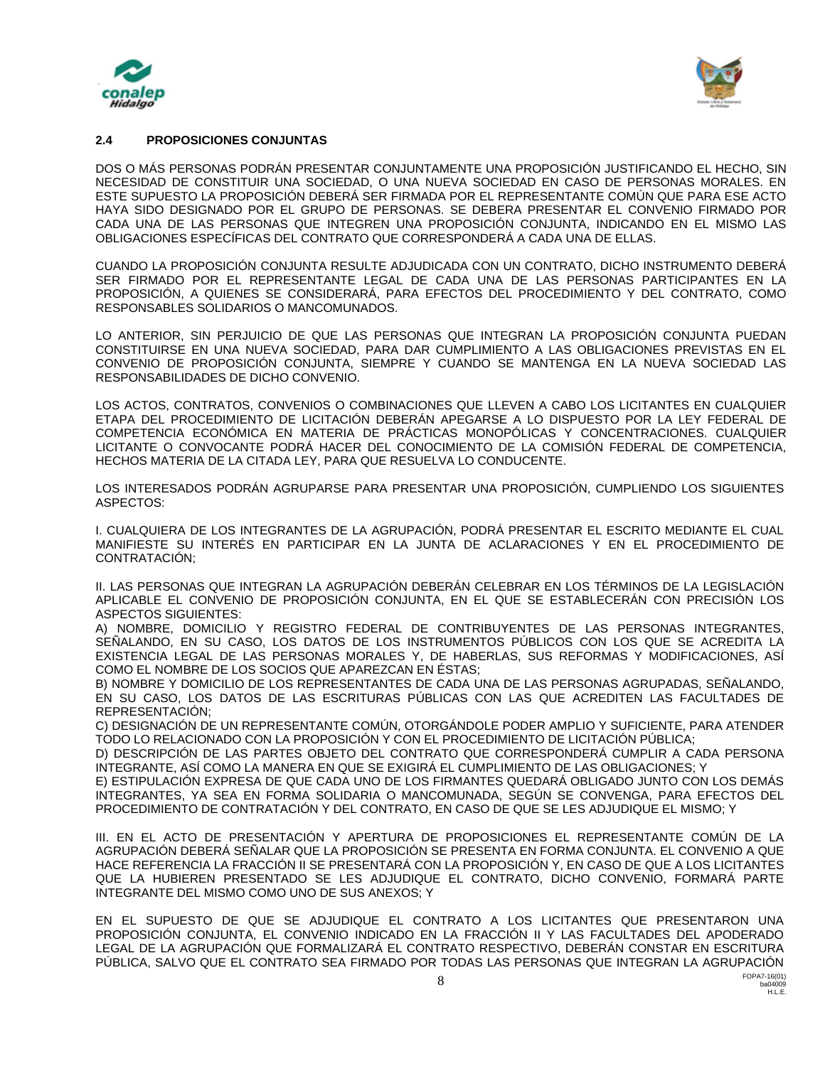



## **2.4 PROPOSICIONES CONJUNTAS**

DOS O MÁS PERSONAS PODRÁN PRESENTAR CONJUNTAMENTE UNA PROPOSICIÓN JUSTIFICANDO EL HECHO, SIN NECESIDAD DE CONSTITUIR UNA SOCIEDAD, O UNA NUEVA SOCIEDAD EN CASO DE PERSONAS MORALES. EN ESTE SUPUESTO LA PROPOSICIÓN DEBERÁ SER FIRMADA POR EL REPRESENTANTE COMÚN QUE PARA ESE ACTO HAYA SIDO DESIGNADO POR EL GRUPO DE PERSONAS. SE DEBERA PRESENTAR EL CONVENIO FIRMADO POR CADA UNA DE LAS PERSONAS QUE INTEGREN UNA PROPOSICIÓN CONJUNTA, INDICANDO EN EL MISMO LAS OBLIGACIONES ESPECÍFICAS DEL CONTRATO QUE CORRESPONDERÁ A CADA UNA DE ELLAS.

CUANDO LA PROPOSICIÓN CONJUNTA RESULTE ADJUDICADA CON UN CONTRATO, DICHO INSTRUMENTO DEBERÁ SER FIRMADO POR EL REPRESENTANTE LEGAL DE CADA UNA DE LAS PERSONAS PARTICIPANTES EN LA PROPOSICIÓN, A QUIENES SE CONSIDERARÁ, PARA EFECTOS DEL PROCEDIMIENTO Y DEL CONTRATO, COMO RESPONSABLES SOLIDARIOS O MANCOMUNADOS.

LO ANTERIOR, SIN PERJUICIO DE QUE LAS PERSONAS QUE INTEGRAN LA PROPOSICIÓN CONJUNTA PUEDAN CONSTITUIRSE EN UNA NUEVA SOCIEDAD, PARA DAR CUMPLIMIENTO A LAS OBLIGACIONES PREVISTAS EN EL CONVENIO DE PROPOSICIÓN CONJUNTA, SIEMPRE Y CUANDO SE MANTENGA EN LA NUEVA SOCIEDAD LAS RESPONSABILIDADES DE DICHO CONVENIO.

LOS ACTOS, CONTRATOS, CONVENIOS O COMBINACIONES QUE LLEVEN A CABO LOS LICITANTES EN CUALQUIER ETAPA DEL PROCEDIMIENTO DE LICITACIÓN DEBERÁN APEGARSE A LO DISPUESTO POR LA LEY FEDERAL DE COMPETENCIA ECONÓMICA EN MATERIA DE PRÁCTICAS MONOPÓLICAS Y CONCENTRACIONES. CUALQUIER LICITANTE O CONVOCANTE PODRÁ HACER DEL CONOCIMIENTO DE LA COMISIÓN FEDERAL DE COMPETENCIA, HECHOS MATERIA DE LA CITADA LEY, PARA QUE RESUELVA LO CONDUCENTE.

LOS INTERESADOS PODRÁN AGRUPARSE PARA PRESENTAR UNA PROPOSICIÓN, CUMPLIENDO LOS SIGUIENTES ASPECTOS:

I. CUALQUIERA DE LOS INTEGRANTES DE LA AGRUPACIÓN, PODRÁ PRESENTAR EL ESCRITO MEDIANTE EL CUAL MANIFIESTE SU INTERÉS EN PARTICIPAR EN LA JUNTA DE ACLARACIONES Y EN EL PROCEDIMIENTO DE CONTRATACIÓN;

II. LAS PERSONAS QUE INTEGRAN LA AGRUPACIÓN DEBERÁN CELEBRAR EN LOS TÉRMINOS DE LA LEGISLACIÓN APLICABLE EL CONVENIO DE PROPOSICIÓN CONJUNTA, EN EL QUE SE ESTABLECERÁN CON PRECISIÓN LOS ASPECTOS SIGUIENTES:

A) NOMBRE, DOMICILIO Y REGISTRO FEDERAL DE CONTRIBUYENTES DE LAS PERSONAS INTEGRANTES, SEÑALANDO, EN SU CASO, LOS DATOS DE LOS INSTRUMENTOS PÚBLICOS CON LOS QUE SE ACREDITA LA EXISTENCIA LEGAL DE LAS PERSONAS MORALES Y, DE HABERLAS, SUS REFORMAS Y MODIFICACIONES, ASÍ COMO EL NOMBRE DE LOS SOCIOS QUE APAREZCAN EN ÉSTAS;

B) NOMBRE Y DOMICILIO DE LOS REPRESENTANTES DE CADA UNA DE LAS PERSONAS AGRUPADAS, SEÑALANDO, EN SU CASO, LOS DATOS DE LAS ESCRITURAS PÚBLICAS CON LAS QUE ACREDITEN LAS FACULTADES DE REPRESENTACIÓN;

C) DESIGNACIÓN DE UN REPRESENTANTE COMÚN, OTORGÁNDOLE PODER AMPLIO Y SUFICIENTE, PARA ATENDER TODO LO RELACIONADO CON LA PROPOSICIÓN Y CON EL PROCEDIMIENTO DE LICITACIÓN PÚBLICA;

D) DESCRIPCIÓN DE LAS PARTES OBJETO DEL CONTRATO QUE CORRESPONDERÁ CUMPLIR A CADA PERSONA INTEGRANTE, ASÍ COMO LA MANERA EN QUE SE EXIGIRÁ EL CUMPLIMIENTO DE LAS OBLIGACIONES; Y

E) ESTIPULACIÓN EXPRESA DE QUE CADA UNO DE LOS FIRMANTES QUEDARÁ OBLIGADO JUNTO CON LOS DEMÁS INTEGRANTES, YA SEA EN FORMA SOLIDARIA O MANCOMUNADA, SEGÚN SE CONVENGA, PARA EFECTOS DEL PROCEDIMIENTO DE CONTRATACIÓN Y DEL CONTRATO, EN CASO DE QUE SE LES ADJUDIQUE EL MISMO; Y

III. EN EL ACTO DE PRESENTACIÓN Y APERTURA DE PROPOSICIONES EL REPRESENTANTE COMÚN DE LA AGRUPACIÓN DEBERÁ SEÑALAR QUE LA PROPOSICIÓN SE PRESENTA EN FORMA CONJUNTA. EL CONVENIO A QUE HACE REFERENCIA LA FRACCIÓN II SE PRESENTARÁ CON LA PROPOSICIÓN Y, EN CASO DE QUE A LOS LICITANTES QUE LA HUBIEREN PRESENTADO SE LES ADJUDIQUE EL CONTRATO, DICHO CONVENIO, FORMARÁ PARTE INTEGRANTE DEL MISMO COMO UNO DE SUS ANEXOS; Y

EN EL SUPUESTO DE QUE SE ADJUDIQUE EL CONTRATO A LOS LICITANTES QUE PRESENTARON UNA PROPOSICIÓN CONJUNTA, EL CONVENIO INDICADO EN LA FRACCIÓN II Y LAS FACULTADES DEL APODERADO LEGAL DE LA AGRUPACIÓN QUE FORMALIZARÁ EL CONTRATO RESPECTIVO, DEBERÁN CONSTAR EN ESCRITURA PÚBLICA, SALVO QUE EL CONTRATO SEA FIRMADO POR TODAS LAS PERSONAS QUE INTEGRAN LA AGRUPACIÓN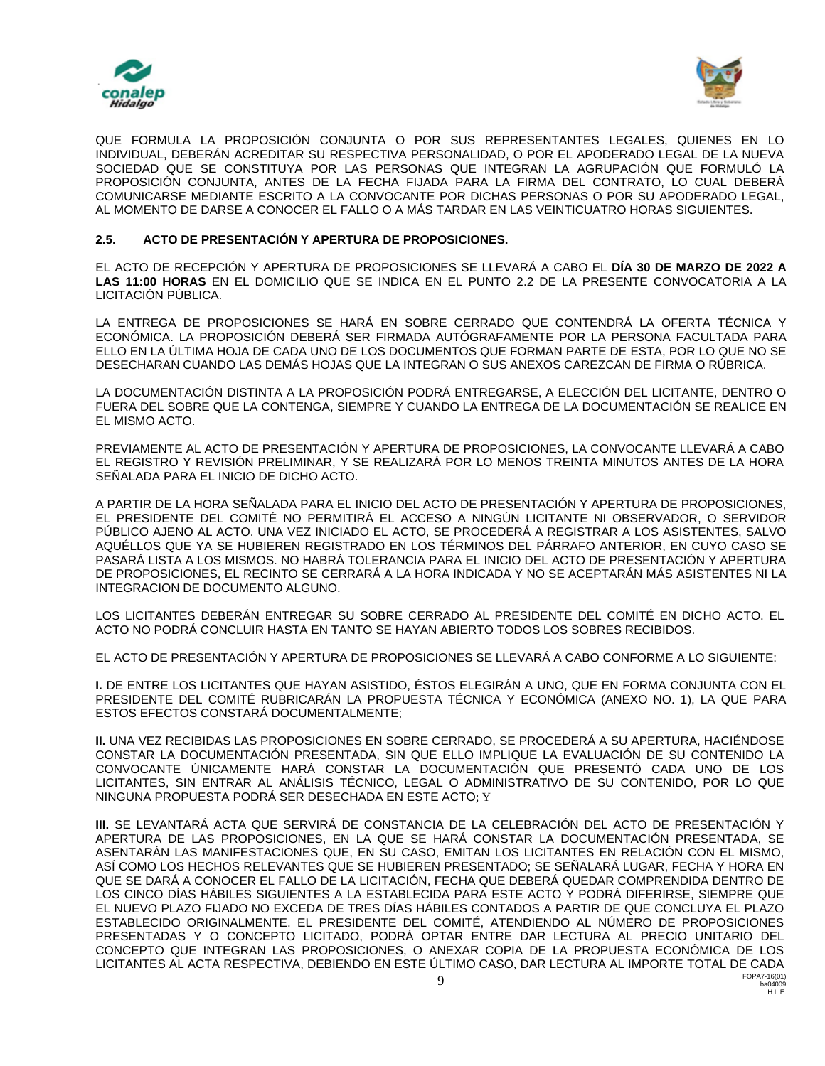



QUE FORMULA LA PROPOSICIÓN CONJUNTA O POR SUS REPRESENTANTES LEGALES, QUIENES EN LO INDIVIDUAL, DEBERÁN ACREDITAR SU RESPECTIVA PERSONALIDAD, O POR EL APODERADO LEGAL DE LA NUEVA SOCIEDAD QUE SE CONSTITUYA POR LAS PERSONAS QUE INTEGRAN LA AGRUPACIÓN QUE FORMULÓ LA PROPOSICIÓN CONJUNTA, ANTES DE LA FECHA FIJADA PARA LA FIRMA DEL CONTRATO, LO CUAL DEBERÁ COMUNICARSE MEDIANTE ESCRITO A LA CONVOCANTE POR DICHAS PERSONAS O POR SU APODERADO LEGAL, AL MOMENTO DE DARSE A CONOCER EL FALLO O A MÁS TARDAR EN LAS VEINTICUATRO HORAS SIGUIENTES.

## **2.5. ACTO DE PRESENTACIÓN Y APERTURA DE PROPOSICIONES.**

EL ACTO DE RECEPCIÓN Y APERTURA DE PROPOSICIONES SE LLEVARÁ A CABO EL **DÍA 30 DE MARZO DE 2022 A LAS 11:00 HORAS** EN EL DOMICILIO QUE SE INDICA EN EL PUNTO 2.2 DE LA PRESENTE CONVOCATORIA A LA LICITACIÓN PÚBLICA.

LA ENTREGA DE PROPOSICIONES SE HARÁ EN SOBRE CERRADO QUE CONTENDRÁ LA OFERTA TÉCNICA Y ECONÓMICA. LA PROPOSICIÓN DEBERÁ SER FIRMADA AUTÓGRAFAMENTE POR LA PERSONA FACULTADA PARA ELLO EN LA ÚLTIMA HOJA DE CADA UNO DE LOS DOCUMENTOS QUE FORMAN PARTE DE ESTA, POR LO QUE NO SE DESECHARAN CUANDO LAS DEMÁS HOJAS QUE LA INTEGRAN O SUS ANEXOS CAREZCAN DE FIRMA O RÚBRICA.

LA DOCUMENTACIÓN DISTINTA A LA PROPOSICIÓN PODRÁ ENTREGARSE, A ELECCIÓN DEL LICITANTE, DENTRO O FUERA DEL SOBRE QUE LA CONTENGA, SIEMPRE Y CUANDO LA ENTREGA DE LA DOCUMENTACIÓN SE REALICE EN EL MISMO ACTO.

PREVIAMENTE AL ACTO DE PRESENTACIÓN Y APERTURA DE PROPOSICIONES, LA CONVOCANTE LLEVARÁ A CABO EL REGISTRO Y REVISIÓN PRELIMINAR, Y SE REALIZARÁ POR LO MENOS TREINTA MINUTOS ANTES DE LA HORA SEÑALADA PARA EL INICIO DE DICHO ACTO.

A PARTIR DE LA HORA SEÑALADA PARA EL INICIO DEL ACTO DE PRESENTACIÓN Y APERTURA DE PROPOSICIONES, EL PRESIDENTE DEL COMITÉ NO PERMITIRÁ EL ACCESO A NINGÚN LICITANTE NI OBSERVADOR, O SERVIDOR PÚBLICO AJENO AL ACTO. UNA VEZ INICIADO EL ACTO, SE PROCEDERÁ A REGISTRAR A LOS ASISTENTES, SALVO AQUÉLLOS QUE YA SE HUBIEREN REGISTRADO EN LOS TÉRMINOS DEL PÁRRAFO ANTERIOR, EN CUYO CASO SE PASARÁ LISTA A LOS MISMOS. NO HABRÁ TOLERANCIA PARA EL INICIO DEL ACTO DE PRESENTACIÓN Y APERTURA DE PROPOSICIONES, EL RECINTO SE CERRARÁ A LA HORA INDICADA Y NO SE ACEPTARÁN MÁS ASISTENTES NI LA INTEGRACION DE DOCUMENTO ALGUNO.

LOS LICITANTES DEBERÁN ENTREGAR SU SOBRE CERRADO AL PRESIDENTE DEL COMITÉ EN DICHO ACTO. EL ACTO NO PODRÁ CONCLUIR HASTA EN TANTO SE HAYAN ABIERTO TODOS LOS SOBRES RECIBIDOS.

EL ACTO DE PRESENTACIÓN Y APERTURA DE PROPOSICIONES SE LLEVARÁ A CABO CONFORME A LO SIGUIENTE:

**I.** DE ENTRE LOS LICITANTES QUE HAYAN ASISTIDO, ÉSTOS ELEGIRÁN A UNO, QUE EN FORMA CONJUNTA CON EL PRESIDENTE DEL COMITÉ RUBRICARÁN LA PROPUESTA TÉCNICA Y ECONÓMICA (ANEXO NO. 1), LA QUE PARA ESTOS EFECTOS CONSTARÁ DOCUMENTALMENTE;

**II.** UNA VEZ RECIBIDAS LAS PROPOSICIONES EN SOBRE CERRADO, SE PROCEDERÁ A SU APERTURA, HACIÉNDOSE CONSTAR LA DOCUMENTACIÓN PRESENTADA, SIN QUE ELLO IMPLIQUE LA EVALUACIÓN DE SU CONTENIDO LA CONVOCANTE ÚNICAMENTE HARÁ CONSTAR LA DOCUMENTACIÓN QUE PRESENTÓ CADA UNO DE LOS LICITANTES, SIN ENTRAR AL ANÁLISIS TÉCNICO, LEGAL O ADMINISTRATIVO DE SU CONTENIDO, POR LO QUE NINGUNA PROPUESTA PODRÁ SER DESECHADA EN ESTE ACTO; Y

FOPA7-16(01) **III.** SE LEVANTARÁ ACTA QUE SERVIRÁ DE CONSTANCIA DE LA CELEBRACIÓN DEL ACTO DE PRESENTACIÓN Y APERTURA DE LAS PROPOSICIONES, EN LA QUE SE HARÁ CONSTAR LA DOCUMENTACIÓN PRESENTADA, SE ASENTARÁN LAS MANIFESTACIONES QUE, EN SU CASO, EMITAN LOS LICITANTES EN RELACIÓN CON EL MISMO, ASÍ COMO LOS HECHOS RELEVANTES QUE SE HUBIEREN PRESENTADO; SE SEÑALARÁ LUGAR, FECHA Y HORA EN QUE SE DARÁ A CONOCER EL FALLO DE LA LICITACIÓN, FECHA QUE DEBERÁ QUEDAR COMPRENDIDA DENTRO DE LOS CINCO DÍAS HÁBILES SIGUIENTES A LA ESTABLECIDA PARA ESTE ACTO Y PODRÁ DIFERIRSE, SIEMPRE QUE EL NUEVO PLAZO FIJADO NO EXCEDA DE TRES DÍAS HÁBILES CONTADOS A PARTIR DE QUE CONCLUYA EL PLAZO ESTABLECIDO ORIGINALMENTE. EL PRESIDENTE DEL COMITÉ, ATENDIENDO AL NÚMERO DE PROPOSICIONES PRESENTADAS Y O CONCEPTO LICITADO, PODRÁ OPTAR ENTRE DAR LECTURA AL PRECIO UNITARIO DEL CONCEPTO QUE INTEGRAN LAS PROPOSICIONES, O ANEXAR COPIA DE LA PROPUESTA ECONÓMICA DE LOS LICITANTES AL ACTA RESPECTIVA, DEBIENDO EN ESTE ÚLTIMO CASO, DAR LECTURA AL IMPORTE TOTAL DE CADA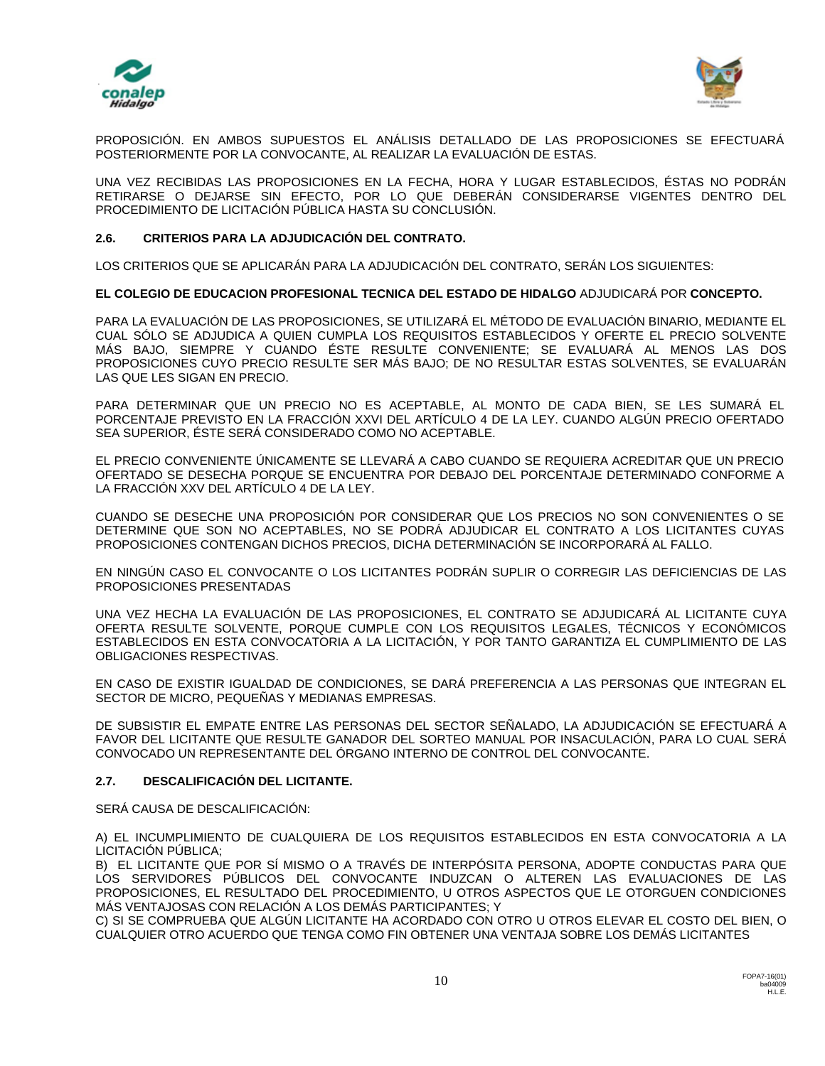



PROPOSICIÓN. EN AMBOS SUPUESTOS EL ANÁLISIS DETALLADO DE LAS PROPOSICIONES SE EFECTUARÁ POSTERIORMENTE POR LA CONVOCANTE, AL REALIZAR LA EVALUACIÓN DE ESTAS.

UNA VEZ RECIBIDAS LAS PROPOSICIONES EN LA FECHA, HORA Y LUGAR ESTABLECIDOS, ÉSTAS NO PODRÁN RETIRARSE O DEJARSE SIN EFECTO, POR LO QUE DEBERÁN CONSIDERARSE VIGENTES DENTRO DEL PROCEDIMIENTO DE LICITACIÓN PÚBLICA HASTA SU CONCLUSIÓN.

## **2.6. CRITERIOS PARA LA ADJUDICACIÓN DEL CONTRATO.**

LOS CRITERIOS QUE SE APLICARÁN PARA LA ADJUDICACIÓN DEL CONTRATO, SERÁN LOS SIGUIENTES:

**EL COLEGIO DE EDUCACION PROFESIONAL TECNICA DEL ESTADO DE HIDALGO** ADJUDICARÁ POR **CONCEPTO.**

PARA LA EVALUACIÓN DE LAS PROPOSICIONES, SE UTILIZARÁ EL MÉTODO DE EVALUACIÓN BINARIO, MEDIANTE EL CUAL SÓLO SE ADJUDICA A QUIEN CUMPLA LOS REQUISITOS ESTABLECIDOS Y OFERTE EL PRECIO SOLVENTE MÁS BAJO, SIEMPRE Y CUANDO ÉSTE RESULTE CONVENIENTE; SE EVALUARÁ AL MENOS LAS DOS PROPOSICIONES CUYO PRECIO RESULTE SER MÁS BAJO; DE NO RESULTAR ESTAS SOLVENTES, SE EVALUARÁN LAS QUE LES SIGAN EN PRECIO.

PARA DETERMINAR QUE UN PRECIO NO ES ACEPTABLE, AL MONTO DE CADA BIEN, SE LES SUMARÁ EL PORCENTAJE PREVISTO EN LA FRACCIÓN XXVI DEL ARTÍCULO 4 DE LA LEY. CUANDO ALGÚN PRECIO OFERTADO SEA SUPERIOR, ÉSTE SERÁ CONSIDERADO COMO NO ACEPTABLE.

EL PRECIO CONVENIENTE ÚNICAMENTE SE LLEVARÁ A CABO CUANDO SE REQUIERA ACREDITAR QUE UN PRECIO OFERTADO SE DESECHA PORQUE SE ENCUENTRA POR DEBAJO DEL PORCENTAJE DETERMINADO CONFORME A LA FRACCIÓN XXV DEL ARTÍCULO 4 DE LA LEY.

CUANDO SE DESECHE UNA PROPOSICIÓN POR CONSIDERAR QUE LOS PRECIOS NO SON CONVENIENTES O SE DETERMINE QUE SON NO ACEPTABLES, NO SE PODRÁ ADJUDICAR EL CONTRATO A LOS LICITANTES CUYAS PROPOSICIONES CONTENGAN DICHOS PRECIOS, DICHA DETERMINACIÓN SE INCORPORARÁ AL FALLO.

EN NINGÚN CASO EL CONVOCANTE O LOS LICITANTES PODRÁN SUPLIR O CORREGIR LAS DEFICIENCIAS DE LAS PROPOSICIONES PRESENTADAS

UNA VEZ HECHA LA EVALUACIÓN DE LAS PROPOSICIONES, EL CONTRATO SE ADJUDICARÁ AL LICITANTE CUYA OFERTA RESULTE SOLVENTE, PORQUE CUMPLE CON LOS REQUISITOS LEGALES, TÉCNICOS Y ECONÓMICOS ESTABLECIDOS EN ESTA CONVOCATORIA A LA LICITACIÓN, Y POR TANTO GARANTIZA EL CUMPLIMIENTO DE LAS OBLIGACIONES RESPECTIVAS.

EN CASO DE EXISTIR IGUALDAD DE CONDICIONES, SE DARÁ PREFERENCIA A LAS PERSONAS QUE INTEGRAN EL SECTOR DE MICRO, PEQUEÑAS Y MEDIANAS EMPRESAS.

DE SUBSISTIR EL EMPATE ENTRE LAS PERSONAS DEL SECTOR SEÑALADO, LA ADJUDICACIÓN SE EFECTUARÁ A FAVOR DEL LICITANTE QUE RESULTE GANADOR DEL SORTEO MANUAL POR INSACULACIÓN, PARA LO CUAL SERÁ CONVOCADO UN REPRESENTANTE DEL ÓRGANO INTERNO DE CONTROL DEL CONVOCANTE.

## **2.7. DESCALIFICACIÓN DEL LICITANTE.**

SERÁ CAUSA DE DESCALIFICACIÓN:

A) EL INCUMPLIMIENTO DE CUALQUIERA DE LOS REQUISITOS ESTABLECIDOS EN ESTA CONVOCATORIA A LA LICITACIÓN PÚBLICA;

B) EL LICITANTE QUE POR SÍ MISMO O A TRAVÉS DE INTERPÓSITA PERSONA, ADOPTE CONDUCTAS PARA QUE LOS SERVIDORES PÚBLICOS DEL CONVOCANTE INDUZCAN O ALTEREN LAS EVALUACIONES DE LAS PROPOSICIONES, EL RESULTADO DEL PROCEDIMIENTO, U OTROS ASPECTOS QUE LE OTORGUEN CONDICIONES MÁS VENTAJOSAS CON RELACIÓN A LOS DEMÁS PARTICIPANTES; Y

C) SI SE COMPRUEBA QUE ALGÚN LICITANTE HA ACORDADO CON OTRO U OTROS ELEVAR EL COSTO DEL BIEN, O CUALQUIER OTRO ACUERDO QUE TENGA COMO FIN OBTENER UNA VENTAJA SOBRE LOS DEMÁS LICITANTES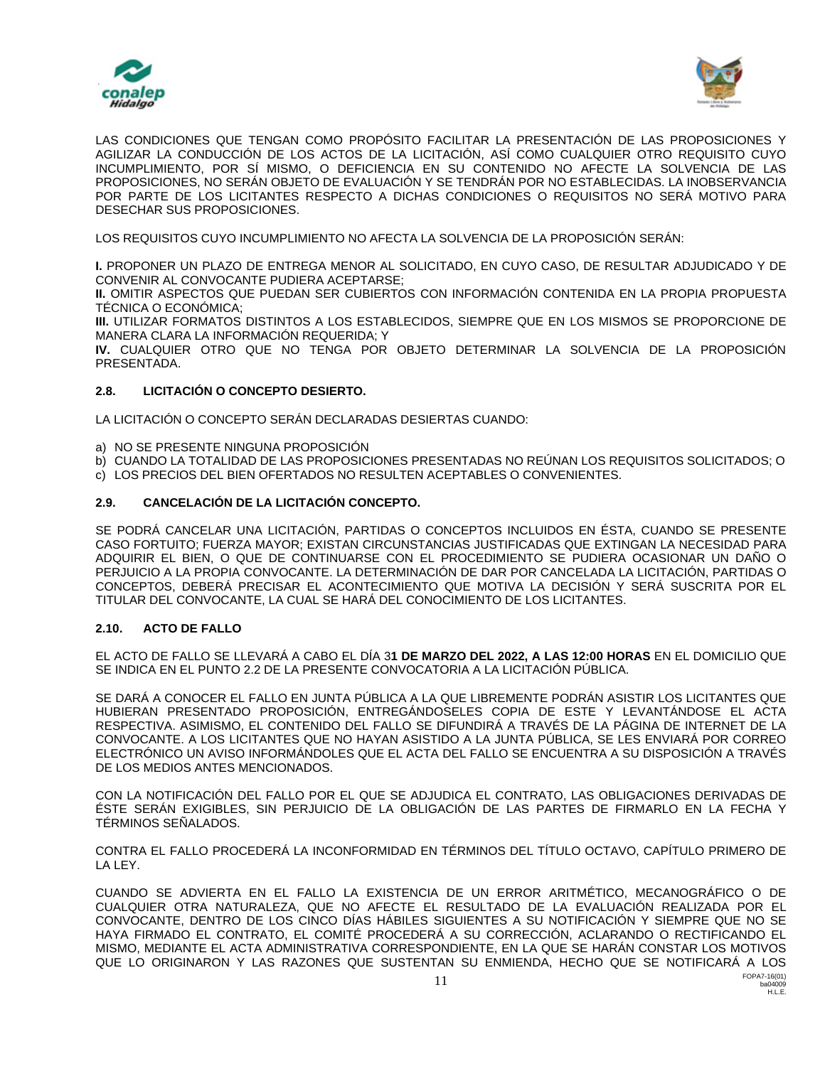



LAS CONDICIONES QUE TENGAN COMO PROPÓSITO FACILITAR LA PRESENTACIÓN DE LAS PROPOSICIONES Y AGILIZAR LA CONDUCCIÓN DE LOS ACTOS DE LA LICITACIÓN, ASÍ COMO CUALQUIER OTRO REQUISITO CUYO INCUMPLIMIENTO, POR SÍ MISMO, O DEFICIENCIA EN SU CONTENIDO NO AFECTE LA SOLVENCIA DE LAS PROPOSICIONES, NO SERÁN OBJETO DE EVALUACIÓN Y SE TENDRÁN POR NO ESTABLECIDAS. LA INOBSERVANCIA POR PARTE DE LOS LICITANTES RESPECTO A DICHAS CONDICIONES O REQUISITOS NO SERÁ MOTIVO PARA DESECHAR SUS PROPOSICIONES.

LOS REQUISITOS CUYO INCUMPLIMIENTO NO AFECTA LA SOLVENCIA DE LA PROPOSICIÓN SERÁN:

**I.** PROPONER UN PLAZO DE ENTREGA MENOR AL SOLICITADO, EN CUYO CASO, DE RESULTAR ADJUDICADO Y DE CONVENIR AL CONVOCANTE PUDIERA ACEPTARSE;

**II.** OMITIR ASPECTOS QUE PUEDAN SER CUBIERTOS CON INFORMACIÓN CONTENIDA EN LA PROPIA PROPUESTA TÉCNICA O ECONÓMICA;

**III.** UTILIZAR FORMATOS DISTINTOS A LOS ESTABLECIDOS, SIEMPRE QUE EN LOS MISMOS SE PROPORCIONE DE MANERA CLARA LA INFORMACIÓN REQUERIDA; Y

**IV.** CUALQUIER OTRO QUE NO TENGA POR OBJETO DETERMINAR LA SOLVENCIA DE LA PROPOSICIÓN PRESENTADA.

## **2.8. LICITACIÓN O CONCEPTO DESIERTO.**

LA LICITACIÓN O CONCEPTO SERÁN DECLARADAS DESIERTAS CUANDO:

- a) NO SE PRESENTE NINGUNA PROPOSICIÓN
- b) CUANDO LA TOTALIDAD DE LAS PROPOSICIONES PRESENTADAS NO REÚNAN LOS REQUISITOS SOLICITADOS; O
- c) LOS PRECIOS DEL BIEN OFERTADOS NO RESULTEN ACEPTABLES O CONVENIENTES.

## **2.9. CANCELACIÓN DE LA LICITACIÓN CONCEPTO.**

SE PODRÁ CANCELAR UNA LICITACIÓN, PARTIDAS O CONCEPTOS INCLUIDOS EN ÉSTA, CUANDO SE PRESENTE CASO FORTUITO; FUERZA MAYOR; EXISTAN CIRCUNSTANCIAS JUSTIFICADAS QUE EXTINGAN LA NECESIDAD PARA ADQUIRIR EL BIEN, O QUE DE CONTINUARSE CON EL PROCEDIMIENTO SE PUDIERA OCASIONAR UN DAÑO O PERJUICIO A LA PROPIA CONVOCANTE. LA DETERMINACIÓN DE DAR POR CANCELADA LA LICITACIÓN, PARTIDAS O CONCEPTOS, DEBERÁ PRECISAR EL ACONTECIMIENTO QUE MOTIVA LA DECISIÓN Y SERÁ SUSCRITA POR EL TITULAR DEL CONVOCANTE, LA CUAL SE HARÁ DEL CONOCIMIENTO DE LOS LICITANTES.

## **2.10. ACTO DE FALLO**

EL ACTO DE FALLO SE LLEVARÁ A CABO EL DÍA 3**1 DE MARZO DEL 2022, A LAS 12:00 HORAS** EN EL DOMICILIO QUE SE INDICA EN EL PUNTO 2.2 DE LA PRESENTE CONVOCATORIA A LA LICITACIÓN PÚBLICA.

SE DARÁ A CONOCER EL FALLO EN JUNTA PÚBLICA A LA QUE LIBREMENTE PODRÁN ASISTIR LOS LICITANTES QUE HUBIERAN PRESENTADO PROPOSICIÓN, ENTREGÁNDOSELES COPIA DE ESTE Y LEVANTÁNDOSE EL ACTA RESPECTIVA. ASIMISMO, EL CONTENIDO DEL FALLO SE DIFUNDIRÁ A TRAVÉS DE LA PÁGINA DE INTERNET DE LA CONVOCANTE. A LOS LICITANTES QUE NO HAYAN ASISTIDO A LA JUNTA PÚBLICA, SE LES ENVIARÁ POR CORREO ELECTRÓNICO UN AVISO INFORMÁNDOLES QUE EL ACTA DEL FALLO SE ENCUENTRA A SU DISPOSICIÓN A TRAVÉS DE LOS MEDIOS ANTES MENCIONADOS.

CON LA NOTIFICACIÓN DEL FALLO POR EL QUE SE ADJUDICA EL CONTRATO, LAS OBLIGACIONES DERIVADAS DE ÉSTE SERÁN EXIGIBLES, SIN PERJUICIO DE LA OBLIGACIÓN DE LAS PARTES DE FIRMARLO EN LA FECHA Y TÉRMINOS SEÑALADOS.

CONTRA EL FALLO PROCEDERÁ LA INCONFORMIDAD EN TÉRMINOS DEL TÍTULO OCTAVO, CAPÍTULO PRIMERO DE LA LEY.

FOPA7-16(01) CUANDO SE ADVIERTA EN EL FALLO LA EXISTENCIA DE UN ERROR ARITMÉTICO, MECANOGRÁFICO O DE CUALQUIER OTRA NATURALEZA, QUE NO AFECTE EL RESULTADO DE LA EVALUACIÓN REALIZADA POR EL CONVOCANTE, DENTRO DE LOS CINCO DÍAS HÁBILES SIGUIENTES A SU NOTIFICACIÓN Y SIEMPRE QUE NO SE HAYA FIRMADO EL CONTRATO, EL COMITÉ PROCEDERÁ A SU CORRECCIÓN, ACLARANDO O RECTIFICANDO EL MISMO, MEDIANTE EL ACTA ADMINISTRATIVA CORRESPONDIENTE, EN LA QUE SE HARÁN CONSTAR LOS MOTIVOS QUE LO ORIGINARON Y LAS RAZONES QUE SUSTENTAN SU ENMIENDA, HECHO QUE SE NOTIFICARÁ A LOS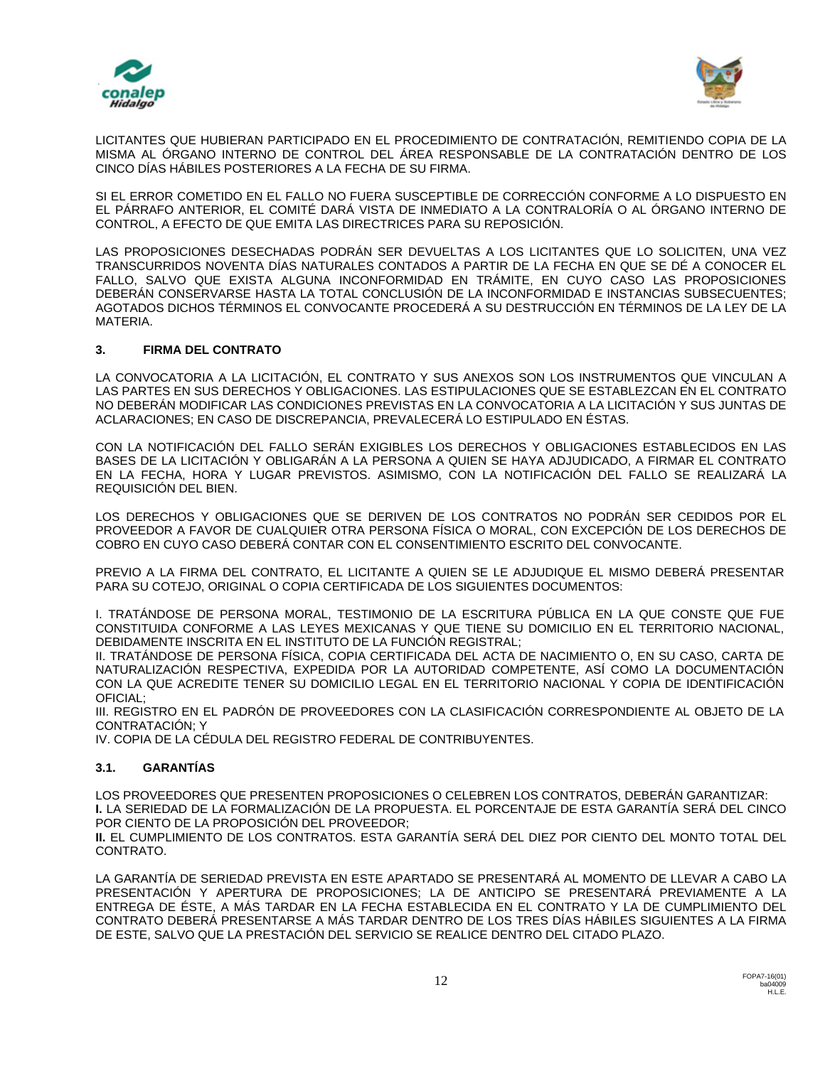



LICITANTES QUE HUBIERAN PARTICIPADO EN EL PROCEDIMIENTO DE CONTRATACIÓN, REMITIENDO COPIA DE LA MISMA AL ÓRGANO INTERNO DE CONTROL DEL ÁREA RESPONSABLE DE LA CONTRATACIÓN DENTRO DE LOS CINCO DÍAS HÁBILES POSTERIORES A LA FECHA DE SU FIRMA.

SI EL ERROR COMETIDO EN EL FALLO NO FUERA SUSCEPTIBLE DE CORRECCIÓN CONFORME A LO DISPUESTO EN EL PÁRRAFO ANTERIOR, EL COMITÉ DARÁ VISTA DE INMEDIATO A LA CONTRALORÍA O AL ÓRGANO INTERNO DE CONTROL, A EFECTO DE QUE EMITA LAS DIRECTRICES PARA SU REPOSICIÓN.

LAS PROPOSICIONES DESECHADAS PODRÁN SER DEVUELTAS A LOS LICITANTES QUE LO SOLICITEN, UNA VEZ TRANSCURRIDOS NOVENTA DÍAS NATURALES CONTADOS A PARTIR DE LA FECHA EN QUE SE DÉ A CONOCER EL FALLO, SALVO QUE EXISTA ALGUNA INCONFORMIDAD EN TRÁMITE, EN CUYO CASO LAS PROPOSICIONES DEBERÁN CONSERVARSE HASTA LA TOTAL CONCLUSIÓN DE LA INCONFORMIDAD E INSTANCIAS SUBSECUENTES; AGOTADOS DICHOS TÉRMINOS EL CONVOCANTE PROCEDERÁ A SU DESTRUCCIÓN EN TÉRMINOS DE LA LEY DE LA MATERIA.

## **3. FIRMA DEL CONTRATO**

LA CONVOCATORIA A LA LICITACIÓN, EL CONTRATO Y SUS ANEXOS SON LOS INSTRUMENTOS QUE VINCULAN A LAS PARTES EN SUS DERECHOS Y OBLIGACIONES. LAS ESTIPULACIONES QUE SE ESTABLEZCAN EN EL CONTRATO NO DEBERÁN MODIFICAR LAS CONDICIONES PREVISTAS EN LA CONVOCATORIA A LA LICITACIÓN Y SUS JUNTAS DE ACLARACIONES; EN CASO DE DISCREPANCIA, PREVALECERÁ LO ESTIPULADO EN ÉSTAS.

CON LA NOTIFICACIÓN DEL FALLO SERÁN EXIGIBLES LOS DERECHOS Y OBLIGACIONES ESTABLECIDOS EN LAS BASES DE LA LICITACIÓN Y OBLIGARÁN A LA PERSONA A QUIEN SE HAYA ADJUDICADO, A FIRMAR EL CONTRATO EN LA FECHA, HORA Y LUGAR PREVISTOS. ASIMISMO, CON LA NOTIFICACIÓN DEL FALLO SE REALIZARÁ LA REQUISICIÓN DEL BIEN.

LOS DERECHOS Y OBLIGACIONES QUE SE DERIVEN DE LOS CONTRATOS NO PODRÁN SER CEDIDOS POR EL PROVEEDOR A FAVOR DE CUALQUIER OTRA PERSONA FÍSICA O MORAL, CON EXCEPCIÓN DE LOS DERECHOS DE COBRO EN CUYO CASO DEBERÁ CONTAR CON EL CONSENTIMIENTO ESCRITO DEL CONVOCANTE.

PREVIO A LA FIRMA DEL CONTRATO, EL LICITANTE A QUIEN SE LE ADJUDIQUE EL MISMO DEBERÁ PRESENTAR PARA SU COTEJO, ORIGINAL O COPIA CERTIFICADA DE LOS SIGUIENTES DOCUMENTOS:

I. TRATÁNDOSE DE PERSONA MORAL, TESTIMONIO DE LA ESCRITURA PÚBLICA EN LA QUE CONSTE QUE FUE CONSTITUIDA CONFORME A LAS LEYES MEXICANAS Y QUE TIENE SU DOMICILIO EN EL TERRITORIO NACIONAL, DEBIDAMENTE INSCRITA EN EL INSTITUTO DE LA FUNCIÓN REGISTRAL;

II. TRATÁNDOSE DE PERSONA FÍSICA, COPIA CERTIFICADA DEL ACTA DE NACIMIENTO O, EN SU CASO, CARTA DE NATURALIZACIÓN RESPECTIVA, EXPEDIDA POR LA AUTORIDAD COMPETENTE, ASÍ COMO LA DOCUMENTACIÓN CON LA QUE ACREDITE TENER SU DOMICILIO LEGAL EN EL TERRITORIO NACIONAL Y COPIA DE IDENTIFICACIÓN OFICIAL;

III. REGISTRO EN EL PADRÓN DE PROVEEDORES CON LA CLASIFICACIÓN CORRESPONDIENTE AL OBJETO DE LA CONTRATACIÓN; Y

IV. COPIA DE LA CÉDULA DEL REGISTRO FEDERAL DE CONTRIBUYENTES.

## **3.1. GARANTÍAS**

LOS PROVEEDORES QUE PRESENTEN PROPOSICIONES O CELEBREN LOS CONTRATOS, DEBERÁN GARANTIZAR: **I.** LA SERIEDAD DE LA FORMALIZACIÓN DE LA PROPUESTA. EL PORCENTAJE DE ESTA GARANTÍA SERÁ DEL CINCO POR CIENTO DE LA PROPOSICIÓN DEL PROVEEDOR;

**II.** EL CUMPLIMIENTO DE LOS CONTRATOS. ESTA GARANTÍA SERÁ DEL DIEZ POR CIENTO DEL MONTO TOTAL DEL CONTRATO.

LA GARANTÍA DE SERIEDAD PREVISTA EN ESTE APARTADO SE PRESENTARÁ AL MOMENTO DE LLEVAR A CABO LA PRESENTACIÓN Y APERTURA DE PROPOSICIONES; LA DE ANTICIPO SE PRESENTARÁ PREVIAMENTE A LA ENTREGA DE ÉSTE, A MÁS TARDAR EN LA FECHA ESTABLECIDA EN EL CONTRATO Y LA DE CUMPLIMIENTO DEL CONTRATO DEBERÁ PRESENTARSE A MÁS TARDAR DENTRO DE LOS TRES DÍAS HÁBILES SIGUIENTES A LA FIRMA DE ESTE, SALVO QUE LA PRESTACIÓN DEL SERVICIO SE REALICE DENTRO DEL CITADO PLAZO.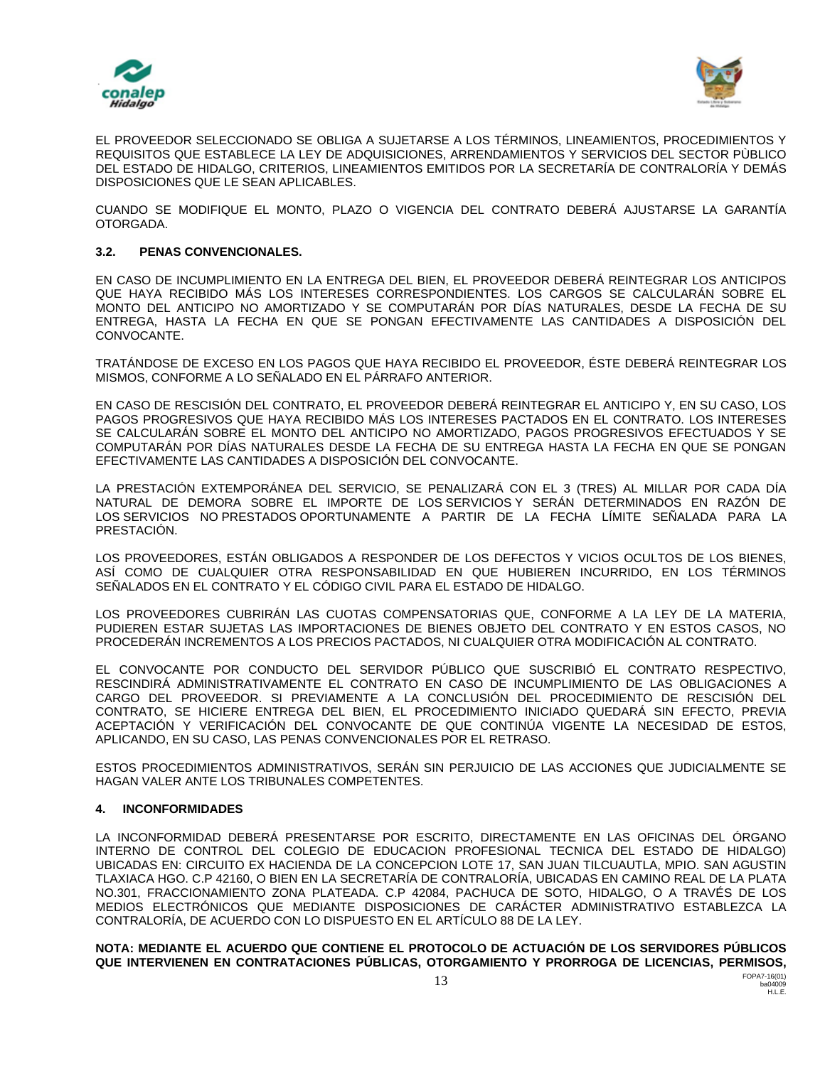



EL PROVEEDOR SELECCIONADO SE OBLIGA A SUJETARSE A LOS TÉRMINOS, LINEAMIENTOS, PROCEDIMIENTOS Y REQUISITOS QUE ESTABLECE LA LEY DE ADQUISICIONES, ARRENDAMIENTOS Y SERVICIOS DEL SECTOR PÙBLICO DEL ESTADO DE HIDALGO, CRITERIOS, LINEAMIENTOS EMITIDOS POR LA SECRETARÍA DE CONTRALORÍA Y DEMÁS DISPOSICIONES QUE LE SEAN APLICABLES.

CUANDO SE MODIFIQUE EL MONTO, PLAZO O VIGENCIA DEL CONTRATO DEBERÁ AJUSTARSE LA GARANTÍA OTORGADA.

## **3.2. PENAS CONVENCIONALES.**

EN CASO DE INCUMPLIMIENTO EN LA ENTREGA DEL BIEN, EL PROVEEDOR DEBERÁ REINTEGRAR LOS ANTICIPOS QUE HAYA RECIBIDO MÁS LOS INTERESES CORRESPONDIENTES. LOS CARGOS SE CALCULARÁN SOBRE EL MONTO DEL ANTICIPO NO AMORTIZADO Y SE COMPUTARÁN POR DÍAS NATURALES, DESDE LA FECHA DE SU ENTREGA, HASTA LA FECHA EN QUE SE PONGAN EFECTIVAMENTE LAS CANTIDADES A DISPOSICIÓN DEL CONVOCANTE.

TRATÁNDOSE DE EXCESO EN LOS PAGOS QUE HAYA RECIBIDO EL PROVEEDOR, ÉSTE DEBERÁ REINTEGRAR LOS MISMOS, CONFORME A LO SEÑALADO EN EL PÁRRAFO ANTERIOR.

EN CASO DE RESCISIÓN DEL CONTRATO, EL PROVEEDOR DEBERÁ REINTEGRAR EL ANTICIPO Y, EN SU CASO, LOS PAGOS PROGRESIVOS QUE HAYA RECIBIDO MÁS LOS INTERESES PACTADOS EN EL CONTRATO. LOS INTERESES SE CALCULARÁN SOBRE EL MONTO DEL ANTICIPO NO AMORTIZADO, PAGOS PROGRESIVOS EFECTUADOS Y SE COMPUTARÁN POR DÍAS NATURALES DESDE LA FECHA DE SU ENTREGA HASTA LA FECHA EN QUE SE PONGAN EFECTIVAMENTE LAS CANTIDADES A DISPOSICIÓN DEL CONVOCANTE.

LA PRESTACIÓN EXTEMPORÁNEA DEL SERVICIO, SE PENALIZARÁ CON EL 3 (TRES) AL MILLAR POR CADA DÍA NATURAL DE DEMORA SOBRE EL IMPORTE DE LOS SERVICIOS Y SERÁN DETERMINADOS EN RAZÓN DE LOS SERVICIOS NO PRESTADOS OPORTUNAMENTE A PARTIR DE LA FECHA LÍMITE SEÑALADA PARA LA PRESTACIÓN.

LOS PROVEEDORES, ESTÁN OBLIGADOS A RESPONDER DE LOS DEFECTOS Y VICIOS OCULTOS DE LOS BIENES, ASÍ COMO DE CUALQUIER OTRA RESPONSABILIDAD EN QUE HUBIEREN INCURRIDO, EN LOS TÉRMINOS SEÑALADOS EN EL CONTRATO Y EL CÓDIGO CIVIL PARA EL ESTADO DE HIDALGO.

LOS PROVEEDORES CUBRIRÁN LAS CUOTAS COMPENSATORIAS QUE, CONFORME A LA LEY DE LA MATERIA, PUDIEREN ESTAR SUJETAS LAS IMPORTACIONES DE BIENES OBJETO DEL CONTRATO Y EN ESTOS CASOS, NO PROCEDERÁN INCREMENTOS A LOS PRECIOS PACTADOS, NI CUALQUIER OTRA MODIFICACIÓN AL CONTRATO.

EL CONVOCANTE POR CONDUCTO DEL SERVIDOR PÚBLICO QUE SUSCRIBIÓ EL CONTRATO RESPECTIVO, RESCINDIRÁ ADMINISTRATIVAMENTE EL CONTRATO EN CASO DE INCUMPLIMIENTO DE LAS OBLIGACIONES A CARGO DEL PROVEEDOR. SI PREVIAMENTE A LA CONCLUSIÓN DEL PROCEDIMIENTO DE RESCISIÓN DEL CONTRATO, SE HICIERE ENTREGA DEL BIEN, EL PROCEDIMIENTO INICIADO QUEDARÁ SIN EFECTO, PREVIA ACEPTACIÓN Y VERIFICACIÓN DEL CONVOCANTE DE QUE CONTINÚA VIGENTE LA NECESIDAD DE ESTOS, APLICANDO, EN SU CASO, LAS PENAS CONVENCIONALES POR EL RETRASO.

ESTOS PROCEDIMIENTOS ADMINISTRATIVOS, SERÁN SIN PERJUICIO DE LAS ACCIONES QUE JUDICIALMENTE SE HAGAN VALER ANTE LOS TRIBUNALES COMPETENTES.

## **4. INCONFORMIDADES**

LA INCONFORMIDAD DEBERÁ PRESENTARSE POR ESCRITO, DIRECTAMENTE EN LAS OFICINAS DEL ÓRGANO INTERNO DE CONTROL DEL COLEGIO DE EDUCACION PROFESIONAL TECNICA DEL ESTADO DE HIDALGO) UBICADAS EN: CIRCUITO EX HACIENDA DE LA CONCEPCION LOTE 17, SAN JUAN TILCUAUTLA, MPIO. SAN AGUSTIN TLAXIACA HGO. C.P 42160, O BIEN EN LA SECRETARÍA DE CONTRALORÍA, UBICADAS EN CAMINO REAL DE LA PLATA NO.301, FRACCIONAMIENTO ZONA PLATEADA. C.P 42084, PACHUCA DE SOTO, HIDALGO, O A TRAVÉS DE LOS MEDIOS ELECTRÓNICOS QUE MEDIANTE DISPOSICIONES DE CARÁCTER ADMINISTRATIVO ESTABLEZCA LA CONTRALORÍA, DE ACUERDO CON LO DISPUESTO EN EL ARTÍCULO 88 DE LA LEY.

**NOTA: MEDIANTE EL ACUERDO QUE CONTIENE EL PROTOCOLO DE ACTUACIÓN DE LOS SERVIDORES PÚBLICOS QUE INTERVIENEN EN CONTRATACIONES PÚBLICAS, OTORGAMIENTO Y PRORROGA DE LICENCIAS, PERMISOS,**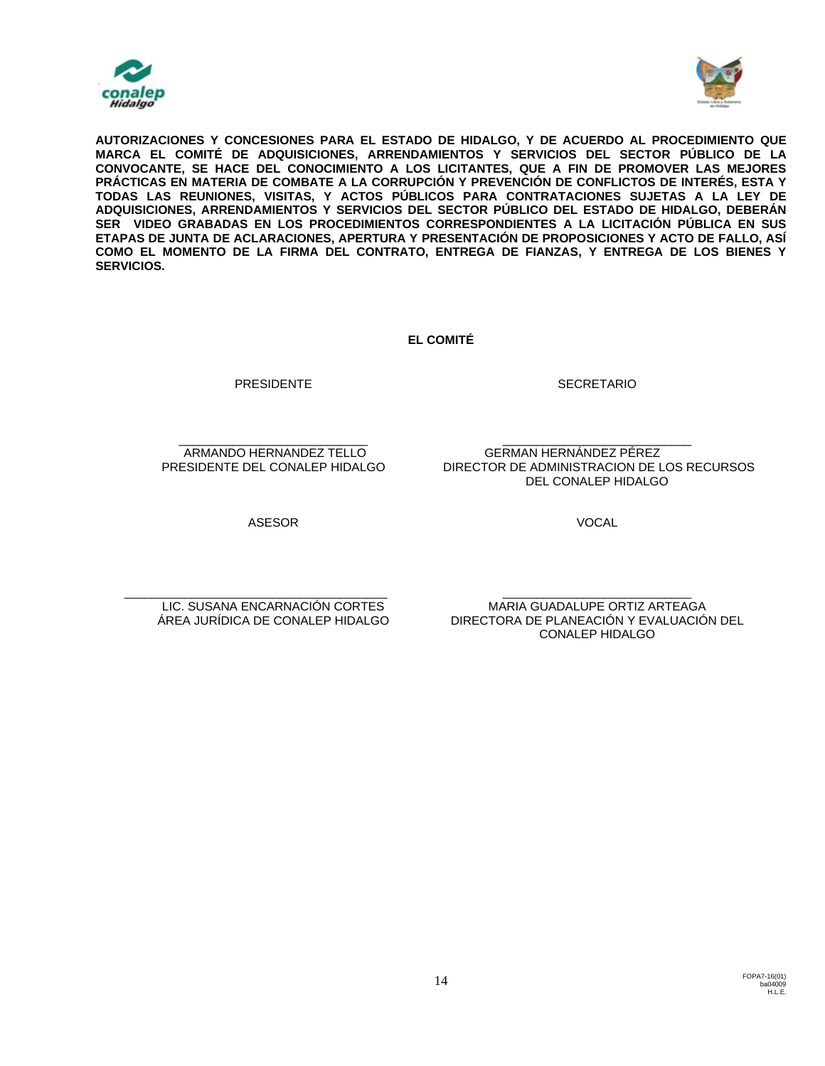



**AUTORIZACIONES Y CONCESIONES PARA EL ESTADO DE HIDALGO, Y DE ACUERDO AL PROCEDIMIENTO QUE MARCA EL COMITÉ DE ADQUISICIONES, ARRENDAMIENTOS Y SERVICIOS DEL SECTOR PÚBLICO DE LA CONVOCANTE, SE HACE DEL CONOCIMIENTO A LOS LICITANTES, QUE A FIN DE PROMOVER LAS MEJORES PRÁCTICAS EN MATERIA DE COMBATE A LA CORRUPCIÓN Y PREVENCIÓN DE CONFLICTOS DE INTERÉS, ESTA Y TODAS LAS REUNIONES, VISITAS, Y ACTOS PÚBLICOS PARA CONTRATACIONES SUJETAS A LA LEY DE ADQUISICIONES, ARRENDAMIENTOS Y SERVICIOS DEL SECTOR PÚBLICO DEL ESTADO DE HIDALGO, DEBERÁN SER VIDEO GRABADAS EN LOS PROCEDIMIENTOS CORRESPONDIENTES A LA LICITACIÓN PÚBLICA EN SUS ETAPAS DE JUNTA DE ACLARACIONES, APERTURA Y PRESENTACIÓN DE PROPOSICIONES Y ACTO DE FALLO, ASÍ COMO EL MOMENTO DE LA FIRMA DEL CONTRATO, ENTREGA DE FIANZAS, Y ENTREGA DE LOS BIENES Y SERVICIOS.**

**EL COMITÉ**

**SECRETARIO** 

GERMAN HERNÁNDEZ PÉREZ

\_\_\_\_\_\_\_\_\_\_\_\_\_\_\_\_\_\_\_\_\_\_\_\_\_\_\_\_ ARMANDO HERNANDEZ TELLO PRESIDENTE DEL CONALEP HIDALGO

PRESIDENTE

DEL CONALEP HIDALGO

\_\_\_\_\_\_\_\_\_\_\_\_\_\_\_\_\_\_\_\_\_\_\_\_\_\_\_\_

DIRECTOR DE ADMINISTRACION DE LOS RECURSOS

ASESOR

VOCAL

\_\_\_\_\_\_\_\_\_\_\_\_\_\_\_\_\_\_\_\_\_\_\_\_\_\_\_\_\_\_\_\_\_\_\_\_\_\_\_ LIC. SUSANA ENCARNACIÓN CORTES ÁREA JURÍDICA DE CONALEP HIDALGO

\_\_\_\_\_\_\_\_\_\_\_\_\_\_\_\_\_\_\_\_\_\_\_\_\_\_\_\_ MARIA GUADALUPE ORTIZ ARTEAGA DIRECTORA DE PLANEACIÓN Y EVALUACIÓN DEL CONALEP HIDALGO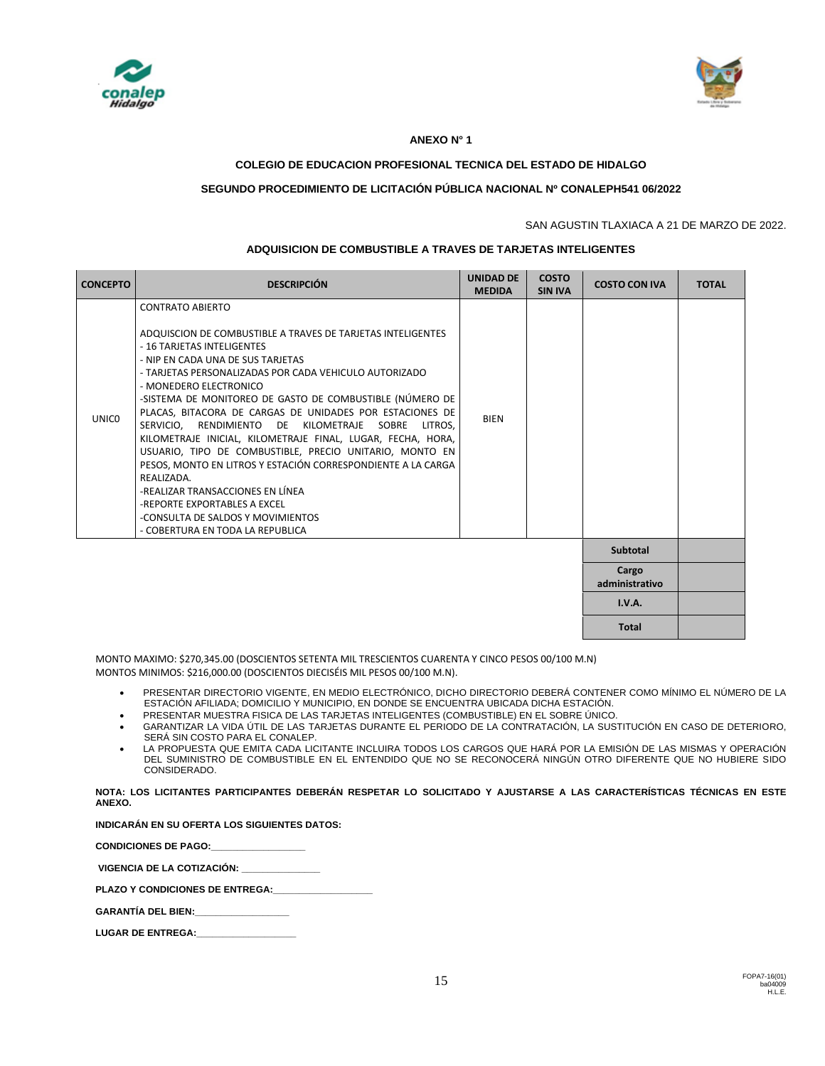



## **ANEXO N° 1**

## **COLEGIO DE EDUCACION PROFESIONAL TECNICA DEL ESTADO DE HIDALGO**

## **SEGUNDO PROCEDIMIENTO DE LICITACIÓN PÚBLICA NACIONAL Nº CONALEPH541 06/2022**

#### SAN AGUSTIN TLAXIACA A 21 DE MARZO DE 2022.

#### **ADQUISICION DE COMBUSTIBLE A TRAVES DE TARJETAS INTELIGENTES**

| <b>CONCEPTO</b> | <b>DESCRIPCIÓN</b>                                                                                                                                                                                                                                                                                                                                                                                                                                                                                                                                                                                                                                                                                                                                                                  | <b>UNIDAD DE</b><br><b>MEDIDA</b> | <b>COSTO</b><br><b>SIN IVA</b> | <b>COSTO CON IVA</b>    | <b>TOTAL</b> |
|-----------------|-------------------------------------------------------------------------------------------------------------------------------------------------------------------------------------------------------------------------------------------------------------------------------------------------------------------------------------------------------------------------------------------------------------------------------------------------------------------------------------------------------------------------------------------------------------------------------------------------------------------------------------------------------------------------------------------------------------------------------------------------------------------------------------|-----------------------------------|--------------------------------|-------------------------|--------------|
| <b>UNICO</b>    | <b>CONTRATO ABIERTO</b><br>ADQUISCION DE COMBUSTIBLE A TRAVES DE TARJETAS INTELIGENTES<br>- 16 TARJETAS INTELIGENTES<br>- NIP EN CADA UNA DE SUS TARJETAS<br>- TARJETAS PERSONALIZADAS POR CADA VEHICULO AUTORIZADO<br>- MONEDERO ELECTRONICO<br>-SISTEMA DE MONITOREO DE GASTO DE COMBUSTIBLE (NÚMERO DE<br>PLACAS, BITACORA DE CARGAS DE UNIDADES POR ESTACIONES DE<br>RENDIMIENTO DE KILOMETRAJE SOBRE LITROS.<br>SERVICIO.<br>KILOMETRAJE INICIAL, KILOMETRAJE FINAL, LUGAR, FECHA, HORA,<br>USUARIO, TIPO DE COMBUSTIBLE, PRECIO UNITARIO, MONTO EN<br>PESOS, MONTO EN LITROS Y ESTACIÓN CORRESPONDIENTE A LA CARGA<br>REALIZADA.<br>-REALIZAR TRANSACCIONES EN LÍNEA<br>-REPORTE EXPORTABLES A EXCEL<br>-CONSULTA DE SALDOS Y MOVIMIENTOS<br>- COBERTURA EN TODA LA REPUBLICA | <b>BIEN</b>                       |                                |                         |              |
|                 |                                                                                                                                                                                                                                                                                                                                                                                                                                                                                                                                                                                                                                                                                                                                                                                     |                                   |                                | <b>Subtotal</b>         |              |
|                 |                                                                                                                                                                                                                                                                                                                                                                                                                                                                                                                                                                                                                                                                                                                                                                                     |                                   |                                | Cargo<br>administrativo |              |
|                 |                                                                                                                                                                                                                                                                                                                                                                                                                                                                                                                                                                                                                                                                                                                                                                                     |                                   |                                | I.V.A.                  |              |
|                 |                                                                                                                                                                                                                                                                                                                                                                                                                                                                                                                                                                                                                                                                                                                                                                                     |                                   |                                | Total                   |              |

MONTO MAXIMO: \$270,345.00 (DOSCIENTOS SETENTA MIL TRESCIENTOS CUARENTA Y CINCO PESOS 00/100 M.N) MONTOS MINIMOS: \$216,000.00 (DOSCIENTOS DIECISÉIS MIL PESOS 00/100 M.N).

- PRESENTAR DIRECTORIO VIGENTE, EN MEDIO ELECTRÓNICO, DICHO DIRECTORIO DEBERÁ CONTENER COMO MÍNIMO EL NÚMERO DE LA ESTACIÓN AFILIADA; DOMICILIO Y MUNICIPIO, EN DONDE SE ENCUENTRA UBICADA DICHA ESTACIÓN.
- PRESENTAR MUESTRA FISICA DE LAS TARJETAS INTELIGENTES (COMBUSTIBLE) EN EL SOBRE ÚNICO.
- GARANTIZAR LA VIDA ÚTIL DE LAS TARJETAS DURANTE EL PERIODO DE LA CONTRATACIÓN, LA SUSTITUCIÓN EN CASO DE DETERIORO, SERÁ SIN COSTO PARA EL CONALEP.
- LA PROPUESTA QUE EMITA CADA LICITANTE INCLUIRA TODOS LOS CARGOS QUE HARÁ POR LA EMISIÓN DE LAS MISMAS Y OPERACIÓN DEL SUMINISTRO DE COMBUSTIBLE EN EL ENTENDIDO QUE NO SE RECONOCERÁ NINGÚN OTRO DIFERENTE QUE NO HUBIERE SIDO CONSIDERADO.

**NOTA: LOS LICITANTES PARTICIPANTES DEBERÁN RESPETAR LO SOLICITADO Y AJUSTARSE A LAS CARACTERÍSTICAS TÉCNICAS EN ESTE ANEXO.** 

**INDICARÁN EN SU OFERTA LOS SIGUIENTES DATOS:**

**CONDICIONES DE PAGO:\_\_\_\_\_\_\_\_\_\_\_\_\_\_\_\_\_\_** 

**VIGENCIA DE LA COTIZACIÓN: \_\_\_\_\_\_\_\_\_\_\_\_\_\_\_**

PLAZO Y CONDICIONES DE ENTREGA:

**GARANTÍA DEL BIEN:\_\_\_\_\_\_\_\_\_\_\_\_\_\_\_\_\_\_**

LUGAR DE ENTREGA: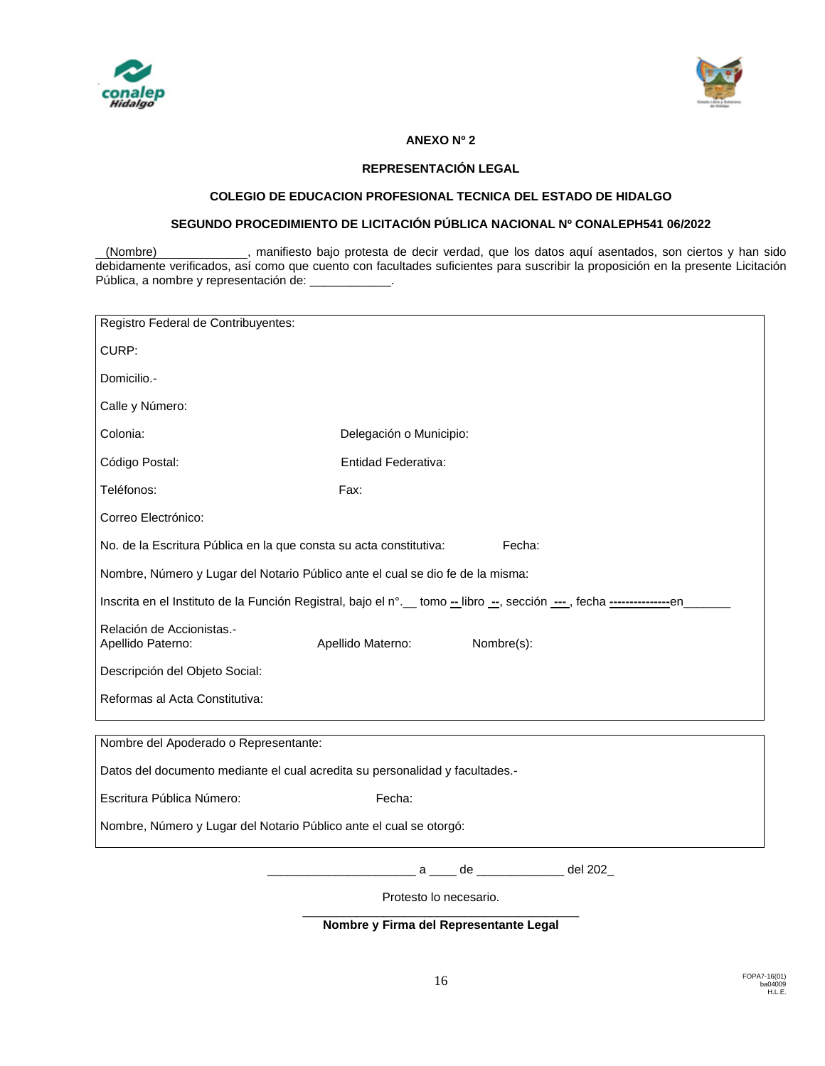



## **ANEXO Nº 2**

## **REPRESENTACIÓN LEGAL**

## **COLEGIO DE EDUCACION PROFESIONAL TECNICA DEL ESTADO DE HIDALGO**

## **SEGUNDO PROCEDIMIENTO DE LICITACIÓN PÚBLICA NACIONAL Nº CONALEPH541 06/2022**

(Nombre) , manifiesto bajo protesta de decir verdad, que los datos aquí asentados, son ciertos y han sido debidamente verificados, así como que cuento con facultades suficientes para suscribir la proposición en la presente Licitación Pública, a nombre y representación de:

| Registro Federal de Contribuyentes:                                                                                       |                                       |  |  |  |  |  |  |  |
|---------------------------------------------------------------------------------------------------------------------------|---------------------------------------|--|--|--|--|--|--|--|
| CURP:                                                                                                                     |                                       |  |  |  |  |  |  |  |
| Domicilio.-                                                                                                               |                                       |  |  |  |  |  |  |  |
| Calle y Número:                                                                                                           |                                       |  |  |  |  |  |  |  |
| Colonia:                                                                                                                  | Delegación o Municipio:               |  |  |  |  |  |  |  |
| Código Postal:                                                                                                            | Entidad Federativa:                   |  |  |  |  |  |  |  |
| Teléfonos:                                                                                                                | Fax:                                  |  |  |  |  |  |  |  |
| Correo Electrónico:                                                                                                       |                                       |  |  |  |  |  |  |  |
| No. de la Escritura Pública en la que consta su acta constitutiva:<br>Fecha:                                              |                                       |  |  |  |  |  |  |  |
| Nombre, Número y Lugar del Notario Público ante el cual se dio fe de la misma:                                            |                                       |  |  |  |  |  |  |  |
| Inscrita en el Instituto de la Función Registral, bajo el nº. __ tomo -_ libro --, sección ---, fecha -----------------en |                                       |  |  |  |  |  |  |  |
| Relación de Accionistas.-<br>Apellido Paterno:                                                                            | Apellido Materno:<br>Nombre(s):       |  |  |  |  |  |  |  |
| Descripción del Objeto Social:                                                                                            |                                       |  |  |  |  |  |  |  |
| Reformas al Acta Constitutiva:                                                                                            |                                       |  |  |  |  |  |  |  |
| Nombre del Apoderado o Representante:                                                                                     |                                       |  |  |  |  |  |  |  |
| Datos del documento mediante el cual acredita su personalidad y facultades.-                                              |                                       |  |  |  |  |  |  |  |
| Escritura Pública Número:<br>Fecha:                                                                                       |                                       |  |  |  |  |  |  |  |
| Nombre, Número y Lugar del Notario Público ante el cual se otorgó:                                                        |                                       |  |  |  |  |  |  |  |
|                                                                                                                           | del 202_<br>$de \qquad \qquad$<br>a a |  |  |  |  |  |  |  |

Protesto lo necesario.

\_\_\_\_\_\_\_\_\_\_\_\_\_\_\_\_\_\_\_\_\_\_\_\_\_\_\_\_\_\_\_\_\_\_\_\_\_\_\_\_\_ **Nombre y Firma del Representante Legal**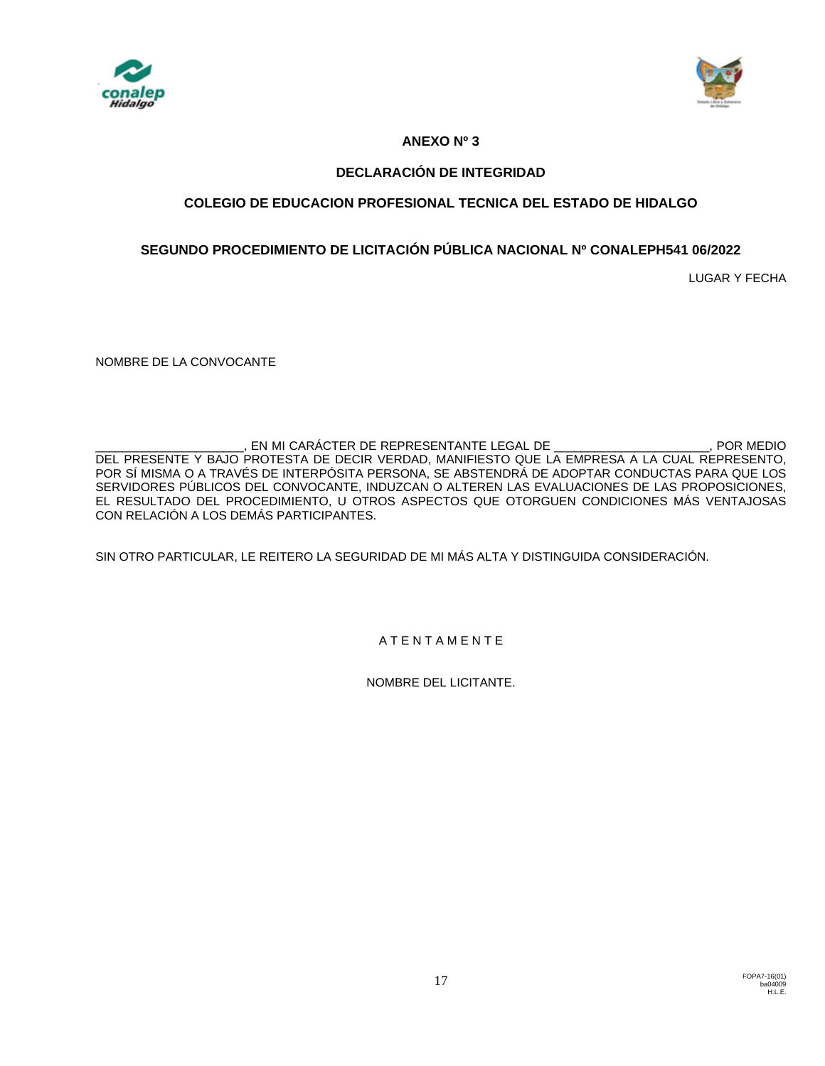



# **ANEXO Nº 3**

# **DECLARACIÓN DE INTEGRIDAD**

# **COLEGIO DE EDUCACION PROFESIONAL TECNICA DEL ESTADO DE HIDALGO**

# **SEGUNDO PROCEDIMIENTO DE LICITACIÓN PÚBLICA NACIONAL Nº CONALEPH541 06/2022**

LUGAR Y FECHA

NOMBRE DE LA CONVOCANTE

EN MI CARÁCTER DE REPRESENTANTE LEGAL DE \_\_\_\_\_\_\_\_\_\_\_\_\_\_\_\_\_\_\_\_\_\_\_\_, POR MEDIO DEL PRESENTE Y BAJO PROTESTA DE DECIR VERDAD, MANIFIESTO QUE LA EMPRESA A LA CUAL REPRESENTO, POR SÍ MISMA O A TRAVÉS DE INTERPÓSITA PERSONA, SE ABSTENDRÁ DE ADOPTAR CONDUCTAS PARA QUE LOS SERVIDORES PÚBLICOS DEL CONVOCANTE, INDUZCAN O ALTEREN LAS EVALUACIONES DE LAS PROPOSICIONES, EL RESULTADO DEL PROCEDIMIENTO, U OTROS ASPECTOS QUE OTORGUEN CONDICIONES MÁS VENTAJOSAS CON RELACIÓN A LOS DEMÁS PARTICIPANTES.

SIN OTRO PARTICULAR, LE REITERO LA SEGURIDAD DE MI MÁS ALTA Y DISTINGUIDA CONSIDERACIÓN.

A T E N T A M E N T E

NOMBRE DEL LICITANTE.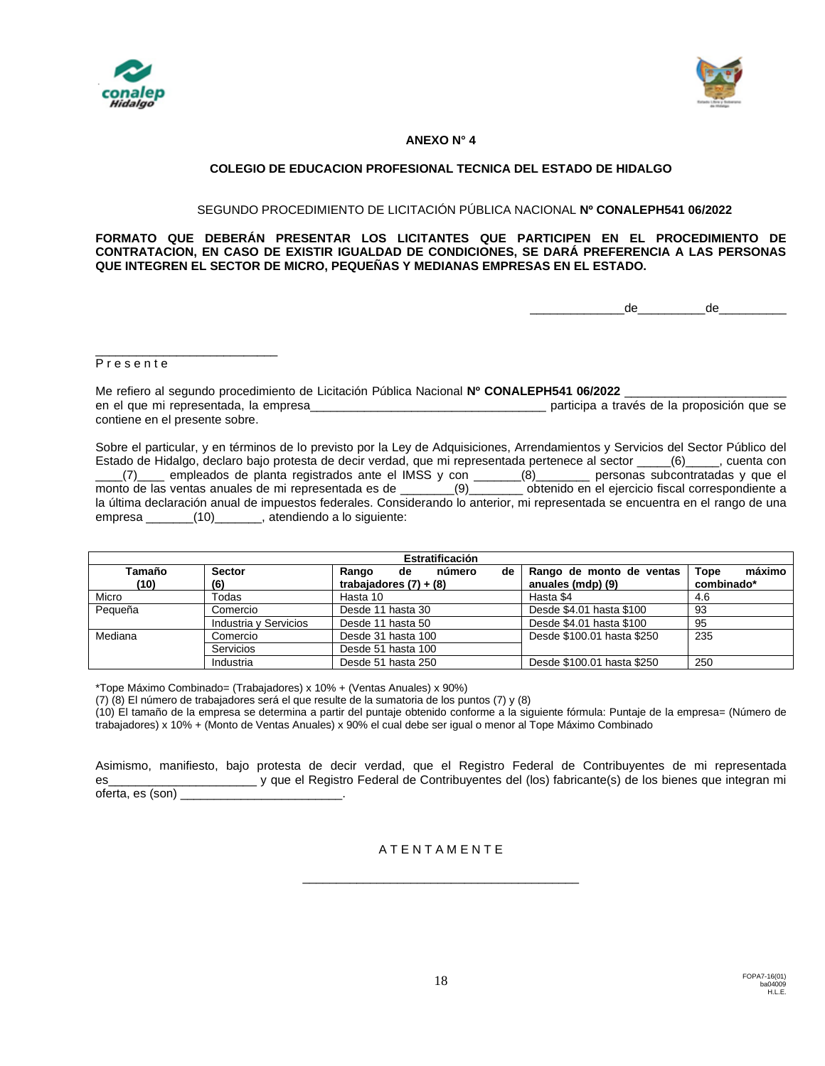



## **ANEXO N° 4**

## **COLEGIO DE EDUCACION PROFESIONAL TECNICA DEL ESTADO DE HIDALGO**

#### SEGUNDO PROCEDIMIENTO DE LICITACIÓN PÚBLICA NACIONAL **Nº CONALEPH541 06/2022**

#### **FORMATO QUE DEBERÁN PRESENTAR LOS LICITANTES QUE PARTICIPEN EN EL PROCEDIMIENTO DE CONTRATACION, EN CASO DE EXISTIR IGUALDAD DE CONDICIONES, SE DARÁ PREFERENCIA A LAS PERSONAS QUE INTEGREN EL SECTOR DE MICRO, PEQUEÑAS Y MEDIANAS EMPRESAS EN EL ESTADO.**

\_\_\_\_\_\_\_\_\_\_\_\_\_\_de\_\_\_\_\_\_\_\_\_\_de\_\_\_\_\_\_\_\_\_\_

## P r e s e n t e

\_\_\_\_\_\_\_\_\_\_\_\_\_\_\_\_\_\_\_\_\_\_\_\_\_\_\_

Me refiero al segundo procedimiento de Licitación Pública Nacional **Nº CONALEPH541 06/2022** \_\_\_\_\_\_\_\_\_\_\_\_\_\_\_\_\_\_\_\_\_\_\_\_ en el que mi representada, la empresa\_\_\_\_\_\_\_\_\_\_\_\_\_\_\_\_\_\_\_\_\_\_\_\_\_\_\_\_\_\_\_\_\_\_\_ participa a través de la proposición que se contiene en el presente sobre.

Sobre el particular, y en términos de lo previsto por la Ley de Adquisiciones, Arrendamientos y Servicios del Sector Público del Estado de Hidalgo, declaro bajo protesta de decir verdad, que mi representada pertenece al sector \_\_\_\_\_(6)\_\_\_\_\_, cuenta con \_\_\_\_(7)\_\_\_\_ empleados de planta registrados ante el IMSS y con \_\_\_\_\_\_\_(8)\_\_\_\_\_\_\_\_ personas subcontratadas y que el monto de las ventas anuales de mi representada es de \_\_\_\_\_\_\_\_(9)\_\_\_\_\_\_\_\_ obtenido en el ejercicio fiscal correspondiente a la última declaración anual de impuestos federales. Considerando lo anterior, mi representada se encuentra en el rango de una empresa \_\_\_\_\_\_\_(10)\_\_\_\_\_\_\_, atendiendo a lo siguiente:

| Estratificación |                       |                             |                            |                |  |  |  |  |  |
|-----------------|-----------------------|-----------------------------|----------------------------|----------------|--|--|--|--|--|
| Tamaño          | <b>Sector</b>         | número<br>de<br>Rango<br>de | Rango de monto de ventas   | máximo<br>Tope |  |  |  |  |  |
| (10)            | (6)                   | trabajadores $(7) + (8)$    | anuales (mdp) (9)          | combinado*     |  |  |  |  |  |
| Micro           | Todas                 | Hasta 10                    | Hasta \$4                  | 4.6            |  |  |  |  |  |
| Pequeña         | Comercio              | Desde 11 hasta 30           | Desde \$4.01 hasta \$100   | -93            |  |  |  |  |  |
|                 | Industria y Servicios | Desde 11 hasta 50           | Desde \$4.01 hasta \$100   | 95             |  |  |  |  |  |
| Mediana         | Comercio              | Desde 31 hasta 100          | Desde \$100.01 hasta \$250 | 235            |  |  |  |  |  |
|                 | Servicios             | Desde 51 hasta 100          |                            |                |  |  |  |  |  |
|                 | Industria             | Desde 51 hasta 250          | Desde \$100.01 hasta \$250 | 250            |  |  |  |  |  |

\*Tope Máximo Combinado= (Trabajadores) x 10% + (Ventas Anuales) x 90%)

(7) (8) El número de trabajadores será el que resulte de la sumatoria de los puntos (7) y (8)

(10) El tamaño de la empresa se determina a partir del puntaje obtenido conforme a la siguiente fórmula: Puntaje de la empresa= (Número de trabajadores) x 10% + (Monto de Ventas Anuales) x 90% el cual debe ser igual o menor al Tope Máximo Combinado

Asimismo, manifiesto, bajo protesta de decir verdad, que el Registro Federal de Contribuyentes de mi representada es\_\_\_\_\_\_\_\_\_\_\_\_\_\_\_\_\_\_\_\_\_\_ y que el Registro Federal de Contribuyentes del (los) fabricante(s) de los bienes que integran mi oferta, es (son) \_

A T E N T A M E N T E

\_\_\_\_\_\_\_\_\_\_\_\_\_\_\_\_\_\_\_\_\_\_\_\_\_\_\_\_\_\_\_\_\_\_\_\_\_\_\_\_\_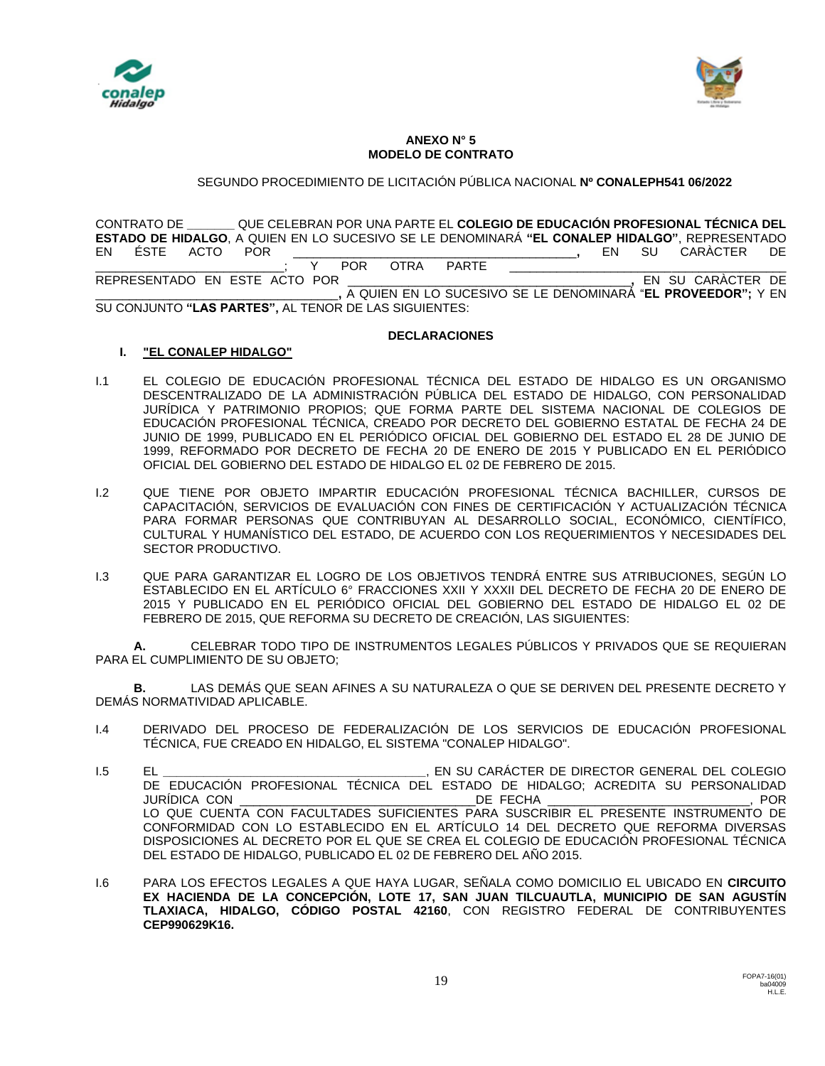



#### **ANEXO N° 5 MODELO DE CONTRATO**

SEGUNDO PROCEDIMIENTO DE LICITACIÓN PÚBLICA NACIONAL **Nº CONALEPH541 06/2022**

CONTRATO DE **\_\_\_\_\_\_\_** QUE CELEBRAN POR UNA PARTE EL **COLEGIO DE EDUCACIÓN PROFESIONAL TÉCNICA DEL ESTADO DE HIDALGO**, A QUIEN EN LO SUCESIVO SE LE DENOMINARÁ **"EL CONALEP HIDALGO"**, REPRESENTADO EN ÉSTE ACTO POR \_\_\_\_\_\_\_\_\_\_\_\_\_\_\_\_\_\_\_\_\_\_\_\_\_\_\_\_\_\_\_\_\_\_\_\_\_\_\_\_\_\_**,** EN SU CARÀCTER DE \_\_\_\_\_\_\_\_\_\_\_\_\_\_\_\_\_\_\_\_\_\_\_\_\_\_\_\_; Y POR OTRA PARTE \_\_\_\_\_\_\_\_\_\_\_\_\_\_\_\_\_\_\_\_\_\_\_\_\_\_\_\_\_\_\_\_\_ REPRESENTADO EN ESTE ACTO POR \_\_\_\_\_\_\_\_\_\_\_\_\_\_\_\_\_\_\_\_\_\_\_\_\_\_\_\_\_\_\_\_\_\_\_\_\_\_\_\_\_\_**,** EN SU CARÀCTER DE \_\_\_\_\_\_\_\_\_\_\_\_\_\_\_\_\_\_\_\_\_\_\_\_\_\_\_\_\_\_\_\_\_\_\_\_**,** A QUIEN EN LO SUCESIVO SE LE DENOMINARÁ "**EL PROVEEDOR";** Y EN SU CONJUNTO **"LAS PARTES",** AL TENOR DE LAS SIGUIENTES:

## **DECLARACIONES**

## **I. "EL CONALEP HIDALGO"**

- I.1 EL COLEGIO DE EDUCACIÓN PROFESIONAL TÉCNICA DEL ESTADO DE HIDALGO ES UN ORGANISMO DESCENTRALIZADO DE LA ADMINISTRACIÓN PÚBLICA DEL ESTADO DE HIDALGO, CON PERSONALIDAD JURÍDICA Y PATRIMONIO PROPIOS; QUE FORMA PARTE DEL SISTEMA NACIONAL DE COLEGIOS DE EDUCACIÓN PROFESIONAL TÉCNICA, CREADO POR DECRETO DEL GOBIERNO ESTATAL DE FECHA 24 DE JUNIO DE 1999, PUBLICADO EN EL PERIÓDICO OFICIAL DEL GOBIERNO DEL ESTADO EL 28 DE JUNIO DE 1999, REFORMADO POR DECRETO DE FECHA 20 DE ENERO DE 2015 Y PUBLICADO EN EL PERIÓDICO OFICIAL DEL GOBIERNO DEL ESTADO DE HIDALGO EL 02 DE FEBRERO DE 2015.
- I.2 QUE TIENE POR OBJETO IMPARTIR EDUCACIÓN PROFESIONAL TÉCNICA BACHILLER, CURSOS DE CAPACITACIÓN, SERVICIOS DE EVALUACIÓN CON FINES DE CERTIFICACIÓN Y ACTUALIZACIÓN TÉCNICA PARA FORMAR PERSONAS QUE CONTRIBUYAN AL DESARROLLO SOCIAL, ECONÓMICO, CIENTÍFICO, CULTURAL Y HUMANÍSTICO DEL ESTADO, DE ACUERDO CON LOS REQUERIMIENTOS Y NECESIDADES DEL SECTOR PRODUCTIVO.
- I.3 QUE PARA GARANTIZAR EL LOGRO DE LOS OBJETIVOS TENDRÁ ENTRE SUS ATRIBUCIONES, SEGÚN LO ESTABLECIDO EN EL ARTÍCULO 6° FRACCIONES XXII Y XXXII DEL DECRETO DE FECHA 20 DE ENERO DE 2015 Y PUBLICADO EN EL PERIÓDICO OFICIAL DEL GOBIERNO DEL ESTADO DE HIDALGO EL 02 DE FEBRERO DE 2015, QUE REFORMA SU DECRETO DE CREACIÓN, LAS SIGUIENTES:

**A.** CELEBRAR TODO TIPO DE INSTRUMENTOS LEGALES PÚBLICOS Y PRIVADOS QUE SE REQUIERAN PARA EL CUMPLIMIENTO DE SU OBJETO;

**B.** LAS DEMÁS QUE SEAN AFINES A SU NATURALEZA O QUE SE DERIVEN DEL PRESENTE DECRETO Y DEMÁS NORMATIVIDAD APLICABLE.

- I.4 DERIVADO DEL PROCESO DE FEDERALIZACIÓN DE LOS SERVICIOS DE EDUCACIÓN PROFESIONAL TÉCNICA, FUE CREADO EN HIDALGO, EL SISTEMA "CONALEP HIDALGO".
- I.5 EL **\_\_\_\_\_\_\_\_\_\_\_\_\_\_\_\_\_\_\_\_\_\_\_\_\_\_\_\_\_\_\_\_\_\_\_\_\_\_\_**, EN SU CARÁCTER DE DIRECTOR GENERAL DEL COLEGIO DE EDUCACIÓN PROFESIONAL TÉCNICA DEL ESTADO DE HIDALGO; ACREDITA SU PERSONALIDAD JURÍDICA CON \_\_\_\_\_\_\_\_\_\_\_\_\_\_\_\_\_\_\_\_\_\_\_\_\_\_\_\_\_\_\_\_\_\_\_DE FECHA \_\_\_\_\_\_\_\_\_\_\_\_\_\_\_\_\_\_\_\_\_\_\_\_\_\_\_\_\_\_, POR LO QUE CUENTA CON FACULTADES SUFICIENTES PARA SUSCRIBIR EL PRESENTE INSTRUMENTO DE CONFORMIDAD CON LO ESTABLECIDO EN EL ARTÍCULO 14 DEL DECRETO QUE REFORMA DIVERSAS DISPOSICIONES AL DECRETO POR EL QUE SE CREA EL COLEGIO DE EDUCACIÓN PROFESIONAL TÉCNICA DEL ESTADO DE HIDALGO, PUBLICADO EL 02 DE FEBRERO DEL AÑO 2015.
- I.6 PARA LOS EFECTOS LEGALES A QUE HAYA LUGAR, SEÑALA COMO DOMICILIO EL UBICADO EN **CIRCUITO EX HACIENDA DE LA CONCEPCIÓN, LOTE 17, SAN JUAN TILCUAUTLA, MUNICIPIO DE SAN AGUSTÍN TLAXIACA, HIDALGO, CÓDIGO POSTAL 42160**, CON REGISTRO FEDERAL DE CONTRIBUYENTES **CEP990629K16.**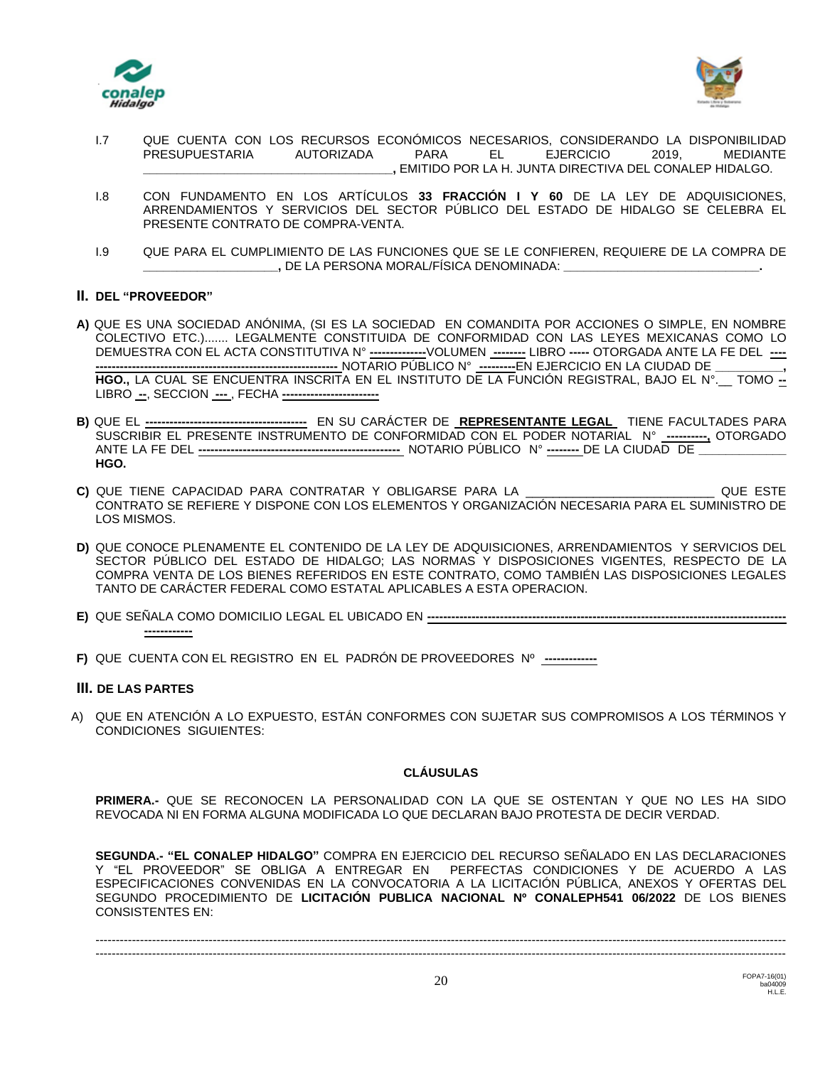



- I.7 QUE CUENTA CON LOS RECURSOS ECONÓMICOS NECESARIOS, CONSIDERANDO LA DISPONIBILIDAD PRESUPUESTARIA AUTORIZADA PARA EL EJERCICIO 2019, MEDIANTE **\_\_\_\_\_\_\_\_\_\_\_\_\_\_\_\_\_\_\_\_\_\_\_\_\_\_\_\_\_\_\_\_\_\_\_\_\_,** EMITIDO POR LA H. JUNTA DIRECTIVA DEL CONALEP HIDALGO.
- I.8 CON FUNDAMENTO EN LOS ARTÍCULOS **33 FRACCIÓN I Y 60** DE LA LEY DE ADQUISICIONES, ARRENDAMIENTOS Y SERVICIOS DEL SECTOR PÚBLICO DEL ESTADO DE HIDALGO SE CELEBRA EL PRESENTE CONTRATO DE COMPRA-VENTA.
- I.9 QUE PARA EL CUMPLIMIENTO DE LAS FUNCIONES QUE SE LE CONFIEREN, REQUIERE DE LA COMPRA DE **\_\_\_\_\_\_\_\_\_\_\_\_\_\_\_\_\_\_\_\_,** DE LA PERSONA MORAL/FÍSICA DENOMINADA: **\_\_\_\_\_\_\_\_\_\_\_\_\_\_\_\_\_\_\_\_\_\_\_\_\_\_\_\_\_.**

## **II. DEL "PROVEEDOR"**

- **A)** QUE ES UNA SOCIEDAD ANÓNIMA, (SI ES LA SOCIEDAD EN COMANDITA POR ACCIONES O SIMPLE, EN NOMBRE COLECTIVO ETC.)....... LEGALMENTE CONSTITUIDA DE CONFORMIDAD CON LAS LEYES MEXICANAS COMO LO DEMUESTRA CON EL ACTA CONSTITUTIVA N° **--------------**VOLUMEN **--------** LIBRO **-----** OTORGADA ANTE LA FE DEL **---- ------------------------------------------------------------** NOTARIO PÚBLICO N° **---------**EN EJERCICIO EN LA CIUDAD DE **\_\_\_\_\_\_\_\_\_\_, HGO.,** LA CUAL SE ENCUENTRA INSCRITA EN EL INSTITUTO DE LA FUNCIÓN REGISTRAL, BAJO EL N°.\_\_ TOMO **--** LIBRO **--**, SECCION **---** , FECHA **------------------------**
- **B)** QUE EL **----------------------------------------** EN SU CARÁCTER DE **REPRESENTANTE LEGAL** TIENE FACULTADES PARA SUSCRIBIR EL PRESENTE INSTRUMENTO DE CONFORMIDAD CON EL PODER NOTARIAL N° **----------,** OTORGADO ANTE LA FE DEL **--------------------------------------------------** NOTARIO PÚBLICO N° **--------** DE LA CIUDAD DE **\_\_\_\_\_\_\_\_\_\_\_\_\_ HGO.**
- **C)** QUE TIENE CAPACIDAD PARA CONTRATAR Y OBLIGARSE PARA LA \_\_\_\_\_\_\_\_\_\_\_\_\_\_\_\_\_\_\_\_\_\_\_\_\_\_\_\_ QUE ESTE CONTRATO SE REFIERE Y DISPONE CON LOS ELEMENTOS Y ORGANIZACIÓN NECESARIA PARA EL SUMINISTRO DE LOS MISMOS.
- **D)** QUE CONOCE PLENAMENTE EL CONTENIDO DE LA LEY DE ADQUISICIONES, ARRENDAMIENTOS Y SERVICIOS DEL SECTOR PÚBLICO DEL ESTADO DE HIDALGO; LAS NORMAS Y DISPOSICIONES VIGENTES, RESPECTO DE LA COMPRA VENTA DE LOS BIENES REFERIDOS EN ESTE CONTRATO, COMO TAMBIÉN LAS DISPOSICIONES LEGALES TANTO DE CARÁCTER FEDERAL COMO ESTATAL APLICABLES A ESTA OPERACION.
- **E)** QUE SEÑALA COMO DOMICILIO LEGAL EL UBICADO EN **----------------------------------------------------------------------------------------- ------------**
- **F)** QUE CUENTA CON EL REGISTRO EN EL PADRÓN DE PROVEEDORES Nº **-------------**

## **III. DE LAS PARTES**

A) QUE EN ATENCIÓN A LO EXPUESTO, ESTÁN CONFORMES CON SUJETAR SUS COMPROMISOS A LOS TÉRMINOS Y CONDICIONES SIGUIENTES:

## **CLÁUSULAS**

**PRIMERA.-** QUE SE RECONOCEN LA PERSONALIDAD CON LA QUE SE OSTENTAN Y QUE NO LES HA SIDO REVOCADA NI EN FORMA ALGUNA MODIFICADA LO QUE DECLARAN BAJO PROTESTA DE DECIR VERDAD.

**SEGUNDA.- "EL CONALEP HIDALGO"** COMPRA EN EJERCICIO DEL RECURSO SEÑALADO EN LAS DECLARACIONES Y "EL PROVEEDOR" SE OBLIGA A ENTREGAR EN PERFECTAS CONDICIONES Y DE ACUERDO A LAS ESPECIFICACIONES CONVENIDAS EN LA CONVOCATORIA A LA LICITACIÓN PÚBLICA, ANEXOS Y OFERTAS DEL SEGUNDO PROCEDIMIENTO DE **LICITACIÓN PUBLICA NACIONAL Nº CONALEPH541 06/2022** DE LOS BIENES CONSISTENTES EN:

--------------------------------------------------------------------------------------------------------------------------------------------------------------------------- ---------------------------------------------------------------------------------------------------------------------------------------------------------------------------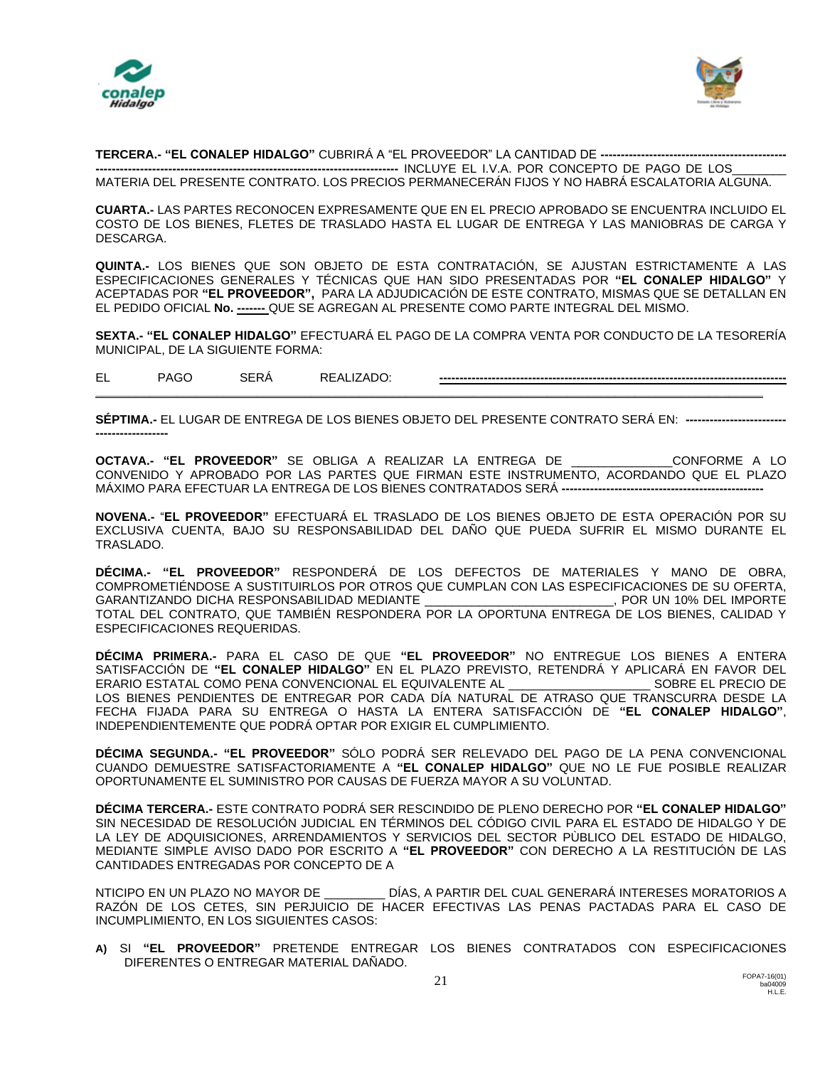



**TERCERA.- "EL CONALEP HIDALGO"** CUBRIRÁ A "EL PROVEEDOR" LA CANTIDAD DE **----------------------------------------------**

**---------------------------------------------------------------------------** INCLUYE EL I.V.A. POR CONCEPTO DE PAGO DE LOS\_\_\_\_\_\_\_\_ MATERIA DEL PRESENTE CONTRATO. LOS PRECIOS PERMANECERÁN FIJOS Y NO HABRÁ ESCALATORIA ALGUNA.

**CUARTA.-** LAS PARTES RECONOCEN EXPRESAMENTE QUE EN EL PRECIO APROBADO SE ENCUENTRA INCLUIDO EL COSTO DE LOS BIENES, FLETES DE TRASLADO HASTA EL LUGAR DE ENTREGA Y LAS MANIOBRAS DE CARGA Y DESCARGA.

**QUINTA.-** LOS BIENES QUE SON OBJETO DE ESTA CONTRATACIÓN, SE AJUSTAN ESTRICTAMENTE A LAS ESPECIFICACIONES GENERALES Y TÉCNICAS QUE HAN SIDO PRESENTADAS POR **"EL CONALEP HIDALGO"** Y ACEPTADAS POR **"EL PROVEEDOR",** PARA LA ADJUDICACIÓN DE ESTE CONTRATO, MISMAS QUE SE DETALLAN EN EL PEDIDO OFICIAL **No. -------** QUE SE AGREGAN AL PRESENTE COMO PARTE INTEGRAL DEL MISMO.

**SEXTA.- "EL CONALEP HIDALGO"** EFECTUARÁ EL PAGO DE LA COMPRA VENTA POR CONDUCTO DE LA TESORERÍA MUNICIPAL, DE LA SIGUIENTE FORMA:

EL PAGO SERÁ REALIZADO: **--------------------------------------------------------------------------------------**

**SÉPTIMA.-** EL LUGAR DE ENTREGA DE LOS BIENES OBJETO DEL PRESENTE CONTRATO SERÁ EN: **------------------------- ------------------**

**\_\_\_\_\_\_\_\_\_\_\_\_\_\_\_\_\_\_\_\_\_\_\_\_\_\_\_\_\_\_\_\_\_\_\_\_\_\_\_\_\_\_\_\_\_\_\_\_\_\_\_\_\_\_\_\_\_\_\_\_\_\_\_\_\_\_\_\_\_\_\_\_\_\_\_\_\_\_\_\_\_\_\_\_\_\_\_\_\_\_\_\_\_\_\_\_\_\_\_**

**OCTAVA.- "EL PROVEEDOR"** SE OBLIGA A REALIZAR LA ENTREGA DE \_\_\_\_\_\_\_\_\_\_\_\_\_\_\_CONFORME A LO CONVENIDO Y APROBADO POR LAS PARTES QUE FIRMAN ESTE INSTRUMENTO, ACORDANDO QUE EL PLAZO MÁXIMO PARA EFECTUAR LA ENTREGA DE LOS BIENES CONTRATADOS SERÁ **--------------------------------------------------**

**NOVENA.-** "**EL PROVEEDOR"** EFECTUARÁ EL TRASLADO DE LOS BIENES OBJETO DE ESTA OPERACIÓN POR SU EXCLUSIVA CUENTA, BAJO SU RESPONSABILIDAD DEL DAÑO QUE PUEDA SUFRIR EL MISMO DURANTE EL TRASLADO.

**DÉCIMA.- "EL PROVEEDOR"** RESPONDERÁ DE LOS DEFECTOS DE MATERIALES Y MANO DE OBRA, COMPROMETIÉNDOSE A SUSTITUIRLOS POR OTROS QUE CUMPLAN CON LAS ESPECIFICACIONES DE SU OFERTA, GARANTIZANDO DICHA RESPONSABILIDAD MEDIANTE \_\_\_\_\_\_\_\_\_\_\_\_\_\_\_\_\_\_\_\_\_\_\_\_\_\_\_\_, POR UN 10% DEL IMPORTE TOTAL DEL CONTRATO, QUE TAMBIÉN RESPONDERA POR LA OPORTUNA ENTREGA DE LOS BIENES, CALIDAD Y ESPECIFICACIONES REQUERIDAS.

**DÉCIMA PRIMERA.-** PARA EL CASO DE QUE **"EL PROVEEDOR"** NO ENTREGUE LOS BIENES A ENTERA SATISFACCIÓN DE **"EL CONALEP HIDALGO"** EN EL PLAZO PREVISTO, RETENDRÁ Y APLICARÁ EN FAVOR DEL ERARIO ESTATAL COMO PENA CONVENCIONAL EL EQUIVALENTE AL \_\_\_\_\_\_\_\_\_\_\_\_\_\_\_\_\_\_\_\_\_ SOBRE EL PRECIO DE LOS BIENES PENDIENTES DE ENTREGAR POR CADA DÍA NATURAL DE ATRASO QUE TRANSCURRA DESDE LA FECHA FIJADA PARA SU ENTREGA O HASTA LA ENTERA SATISFACCIÓN DE **"EL CONALEP HIDALGO"**, INDEPENDIENTEMENTE QUE PODRÁ OPTAR POR EXIGIR EL CUMPLIMIENTO.

**DÉCIMA SEGUNDA.- "EL PROVEEDOR"** SÓLO PODRÁ SER RELEVADO DEL PAGO DE LA PENA CONVENCIONAL CUANDO DEMUESTRE SATISFACTORIAMENTE A **"EL CONALEP HIDALGO"** QUE NO LE FUE POSIBLE REALIZAR OPORTUNAMENTE EL SUMINISTRO POR CAUSAS DE FUERZA MAYOR A SU VOLUNTAD.

**DÉCIMA TERCERA.-** ESTE CONTRATO PODRÁ SER RESCINDIDO DE PLENO DERECHO POR **"EL CONALEP HIDALGO"** SIN NECESIDAD DE RESOLUCIÓN JUDICIAL EN TÉRMINOS DEL CÓDIGO CIVIL PARA EL ESTADO DE HIDALGO Y DE LA LEY DE ADQUISICIONES, ARRENDAMIENTOS Y SERVICIOS DEL SECTOR PÙBLICO DEL ESTADO DE HIDALGO, MEDIANTE SIMPLE AVISO DADO POR ESCRITO A **"EL PROVEEDOR"** CON DERECHO A LA RESTITUCIÓN DE LAS CANTIDADES ENTREGADAS POR CONCEPTO DE A

NTICIPO EN UN PLAZO NO MAYOR DE \_\_\_\_\_\_\_\_\_ DÍAS, A PARTIR DEL CUAL GENERARÁ INTERESES MORATORIOS A RAZÓN DE LOS CETES, SIN PERJUICIO DE HACER EFECTIVAS LAS PENAS PACTADAS PARA EL CASO DE INCUMPLIMIENTO, EN LOS SIGUIENTES CASOS:

**A)** SI **"EL PROVEEDOR"** PRETENDE ENTREGAR LOS BIENES CONTRATADOS CON ESPECIFICACIONES DIFERENTES O ENTREGAR MATERIAL DAÑADO.